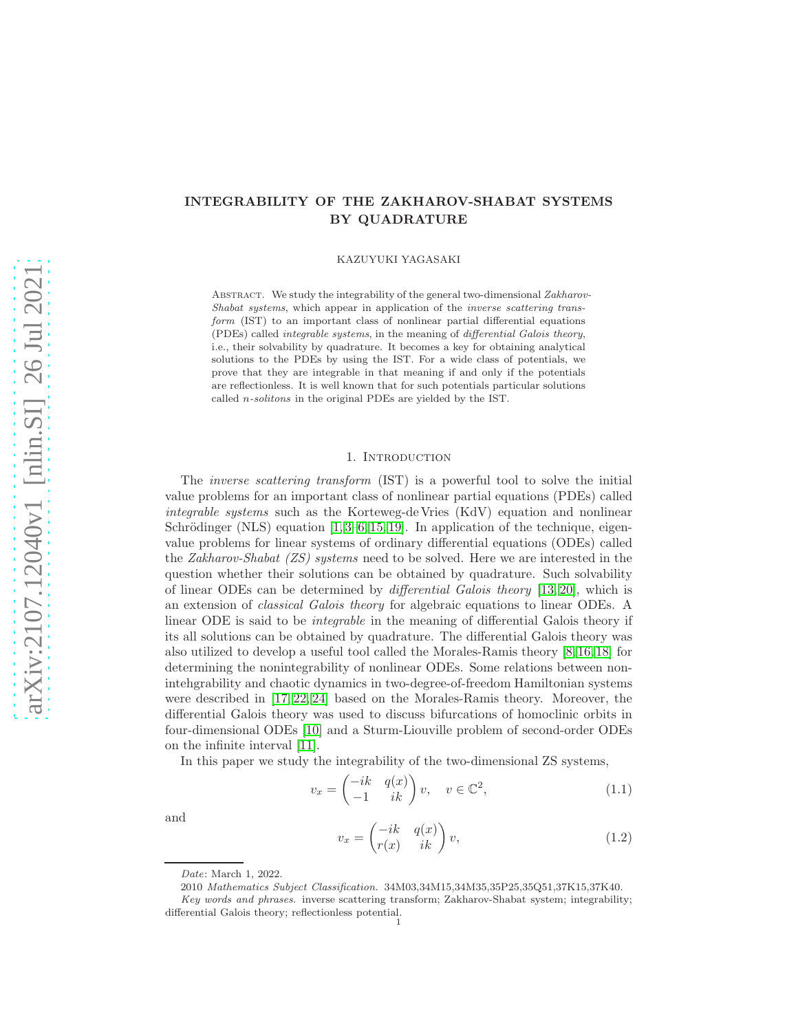# INTEGRABILITY OF THE ZAKHAROV-SHABAT SYSTEMS BY QUADRATURE

KAZUYUKI YAGASAKI

ABSTRACT. We study the integrability of the general two-dimensional Zakharov-Shabat systems, which appear in application of the inverse scattering transform (IST) to an important class of nonlinear partial differential equations (PDEs) called integrable systems, in the meaning of differential Galois theory, i.e., their solvability by quadrature. It becomes a key for obtaining analytical solutions to the PDEs by using the IST. For a wide class of potentials, we prove that they are integrable in that meaning if and only if the potentials are reflectionless. It is well known that for such potentials particular solutions called n-solitons in the original PDEs are yielded by the IST.

## 1. INTRODUCTION

The *inverse scattering transform* (IST) is a powerful tool to solve the initial value problems for an important class of nonlinear partial equations (PDEs) called integrable systems such as the Korteweg-de Vries (KdV) equation and nonlinear Schrödinger (NLS) equation  $[1, 3-6, 15, 19]$  $[1, 3-6, 15, 19]$  $[1, 3-6, 15, 19]$  $[1, 3-6, 15, 19]$ . In application of the technique, eigenvalue problems for linear systems of ordinary differential equations (ODEs) called the Zakharov-Shabat (ZS) systems need to be solved. Here we are interested in the question whether their solutions can be obtained by quadrature. Such solvability of linear ODEs can be determined by differential Galois theory [\[13,](#page-16-5) [20\]](#page-16-6), which is an extension of classical Galois theory for algebraic equations to linear ODEs. A linear ODE is said to be integrable in the meaning of differential Galois theory if its all solutions can be obtained by quadrature. The differential Galois theory was also utilized to develop a useful tool called the Morales-Ramis theory [\[8,](#page-16-7) [16,](#page-16-8) [18\]](#page-16-9) for determining the nonintegrability of nonlinear ODEs. Some relations between nonintehgrability and chaotic dynamics in two-degree-of-freedom Hamiltonian systems were described in [\[17,](#page-16-10) [22,](#page-17-0) [24\]](#page-17-1) based on the Morales-Ramis theory. Moreover, the differential Galois theory was used to discuss bifurcations of homoclinic orbits in four-dimensional ODEs [\[10\]](#page-16-11) and a Sturm-Liouville problem of second-order ODEs on the infinite interval [\[11\]](#page-16-12).

In this paper we study the integrability of the two-dimensional ZS systems,

<span id="page-0-0"></span>
$$
v_x = \begin{pmatrix} -ik & q(x) \\ -1 & ik \end{pmatrix} v, \quad v \in \mathbb{C}^2,
$$
\n(1.1)

and

<span id="page-0-1"></span>
$$
v_x = \begin{pmatrix} -ik & q(x) \\ r(x) & ik \end{pmatrix} v,\tag{1.2}
$$

Date: March 1, 2022.

<sup>2010</sup> Mathematics Subject Classification. 34M03,34M15,34M35,35P25,35Q51,37K15,37K40.

Key words and phrases. inverse scattering transform; Zakharov-Shabat system; integrability; differential Galois theory; reflectionless potential. 1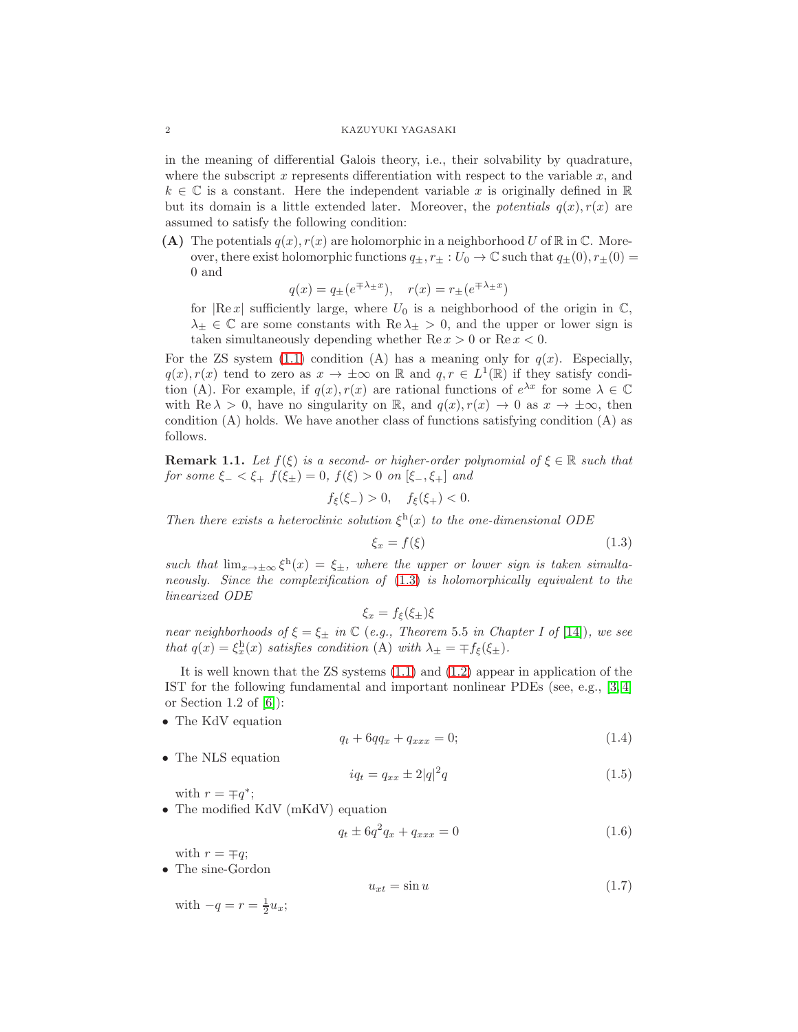in the meaning of differential Galois theory, i.e., their solvability by quadrature, where the subscript x represents differentiation with respect to the variable  $x$ , and  $k \in \mathbb{C}$  is a constant. Here the independent variable x is originally defined in  $\mathbb{R}$ but its domain is a little extended later. Moreover, the potentials  $q(x)$ ,  $r(x)$  are assumed to satisfy the following condition:

(A) The potentials  $q(x)$ ,  $r(x)$  are holomorphic in a neighborhood U of R in C. Moreover, there exist holomorphic functions  $q_{\pm}, r_{\pm} : U_0 \to \mathbb{C}$  such that  $q_{\pm}(0), r_{\pm}(0) =$ 0 and

$$
q(x) = q_{\pm}(e^{\mp \lambda_{\pm} x}), \quad r(x) = r_{\pm}(e^{\mp \lambda_{\pm} x})
$$

for  $|Re x|$  sufficiently large, where  $U_0$  is a neighborhood of the origin in  $\mathbb{C}$ ,  $\lambda_{\pm} \in \mathbb{C}$  are some constants with  $\text{Re } \lambda_{\pm} > 0$ , and the upper or lower sign is taken simultaneously depending whether  $\text{Re } x > 0$  or  $\text{Re } x < 0$ .

For the ZS system [\(1.1\)](#page-0-0) condition (A) has a meaning only for  $q(x)$ . Especially,  $q(x), r(x)$  tend to zero as  $x \to \pm \infty$  on R and  $q, r \in L^1(\mathbb{R})$  if they satisfy condition (A). For example, if  $q(x)$ ,  $r(x)$  are rational functions of  $e^{\lambda x}$  for some  $\lambda \in \mathbb{C}$ with Re  $\lambda > 0$ , have no singularity on R, and  $q(x), r(x) \to 0$  as  $x \to \pm \infty$ , then condition (A) holds. We have another class of functions satisfying condition (A) as follows.

<span id="page-1-4"></span>**Remark 1.1.** Let  $f(\xi)$  is a second- or higher-order polynomial of  $\xi \in \mathbb{R}$  such that for some  $\xi_{-} < \xi_{+} f(\xi_{\pm}) = 0$ ,  $f(\xi) > 0$  on  $[\xi_{-}, \xi_{+}]$  and

 $f_{\xi}(\xi_{-}) > 0, \quad f_{\xi}(\xi_{+}) < 0.$ 

Then there exists a heteroclinic solution  $\xi^h(x)$  to the one-dimensional ODE

<span id="page-1-0"></span>
$$
\xi_x = f(\xi) \tag{1.3}
$$

such that  $\lim_{x\to\pm\infty} \xi^h(x) = \xi_{\pm}$ , where the upper or lower sign is taken simultaneously. Since the complexification of [\(1.3\)](#page-1-0) is holomorphically equivalent to the linearized ODE

 $\xi_x = f_{\xi}(\xi_{\pm})\xi$ 

near neighborhoods of  $\xi = \xi_{\pm}$  in  $\mathbb C$  (e.g., Theorem 5.5 in Chapter I of [\[14\]](#page-16-13)), we see that  $q(x) = \xi_x^h(x)$  satisfies condition (A) with  $\lambda_{\pm} = \mp f_{\xi}(\xi_{\pm}).$ 

It is well known that the ZS systems [\(1.1\)](#page-0-0) and [\(1.2\)](#page-0-1) appear in application of the IST for the following fundamental and important nonlinear PDEs (see, e.g., [\[3,](#page-16-1) [4\]](#page-16-14) or Section 1.2 of  $[6]$ :

• The KdV equation

<span id="page-1-1"></span>
$$
q_t + 6qq_x + q_{xxx} = 0; \t\t(1.4)
$$

• The NLS equation

<span id="page-1-2"></span>
$$
iq_t = q_{xx} \pm 2|q|^2 q \tag{1.5}
$$

with  $r = \mp q^*$ ;

• The modified KdV (mKdV) equation

$$
q_t \pm 6q^2 q_x + q_{xxx} = 0 \tag{1.6}
$$

with  $r = \mp q$ ;

• The sine-Gordon

<span id="page-1-3"></span>
$$
u_{xt} = \sin u \tag{1.7}
$$

with  $-q = r = \frac{1}{2}u_x;$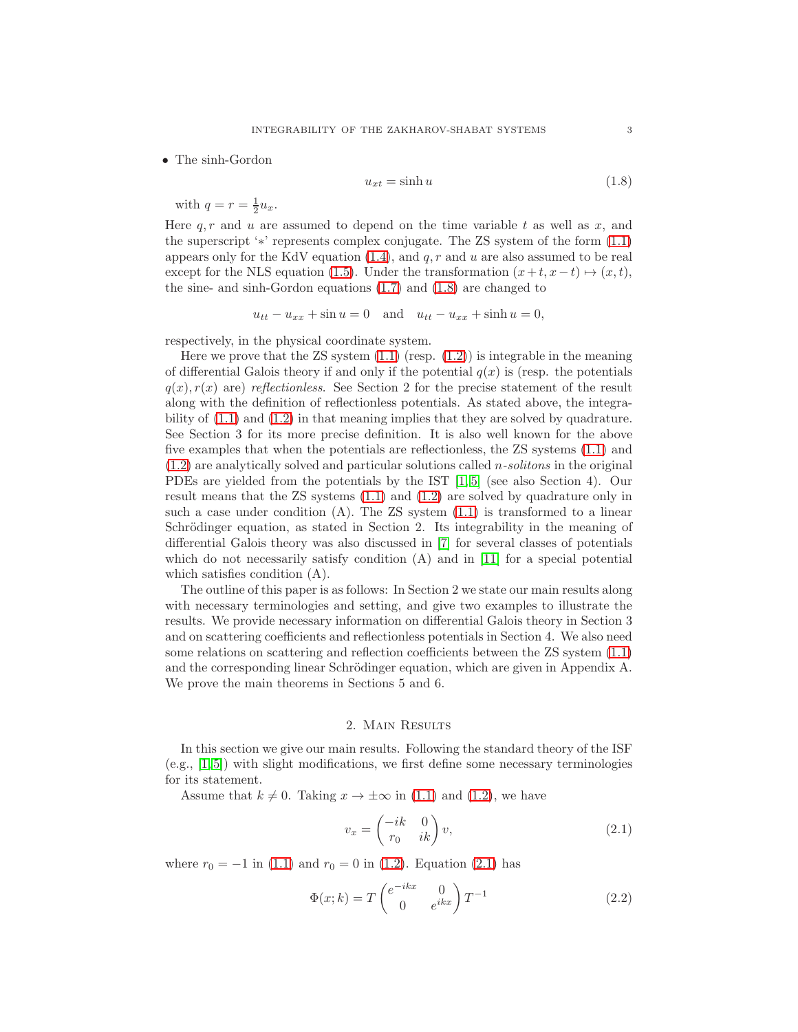• The sinh-Gordon

<span id="page-2-0"></span>
$$
u_{xt} = \sinh u \tag{1.8}
$$

with  $q = r = \frac{1}{2}u_x$ .

Here  $q, r$  and u are assumed to depend on the time variable t as well as x, and the superscript '∗' represents complex conjugate. The ZS system of the form [\(1.1\)](#page-0-0) appears only for the KdV equation  $(1.4)$ , and  $q, r$  and  $u$  are also assumed to be real except for the NLS equation [\(1.5\)](#page-1-2). Under the transformation  $(x+t, x-t) \mapsto (x, t)$ , the sine- and sinh-Gordon equations [\(1.7\)](#page-1-3) and [\(1.8\)](#page-2-0) are changed to

$$
u_{tt} - u_{xx} + \sin u = 0 \quad \text{and} \quad u_{tt} - u_{xx} + \sinh u = 0,
$$

respectively, in the physical coordinate system.

Here we prove that the  $\text{ZS}$  system  $(1.1)$  (resp.  $(1.2)$ ) is integrable in the meaning of differential Galois theory if and only if the potential  $q(x)$  is (resp. the potentials  $q(x), r(x)$  are) reflectionless. See Section 2 for the precise statement of the result along with the definition of reflectionless potentials. As stated above, the integrability of [\(1.1\)](#page-0-0) and [\(1.2\)](#page-0-1) in that meaning implies that they are solved by quadrature. See Section 3 for its more precise definition. It is also well known for the above five examples that when the potentials are reflectionless, the ZS systems [\(1.1\)](#page-0-0) and  $(1.2)$  are analytically solved and particular solutions called *n*-solitons in the original PDEs are yielded from the potentials by the IST [\[1,](#page-16-0) [5\]](#page-16-15) (see also Section 4). Our result means that the ZS systems [\(1.1\)](#page-0-0) and [\(1.2\)](#page-0-1) are solved by quadrature only in such a case under condition  $(A)$ . The ZS system  $(1.1)$  is transformed to a linear Schrödinger equation, as stated in Section 2. Its integrability in the meaning of differential Galois theory was also discussed in [\[7\]](#page-16-16) for several classes of potentials which do not necessarily satisfy condition (A) and in [\[11\]](#page-16-12) for a special potential which satisfies condition (A).

The outline of this paper is as follows: In Section 2 we state our main results along with necessary terminologies and setting, and give two examples to illustrate the results. We provide necessary information on differential Galois theory in Section 3 and on scattering coefficients and reflectionless potentials in Section 4. We also need some relations on scattering and reflection coefficients between the ZS system [\(1.1\)](#page-0-0) and the corresponding linear Schrödinger equation, which are given in Appendix A. We prove the main theorems in Sections 5 and 6.

## 2. Main Results

In this section we give our main results. Following the standard theory of the ISF (e.g., [\[1,](#page-16-0) [5\]](#page-16-15)) with slight modifications, we first define some necessary terminologies for its statement.

Assume that  $k \neq 0$ . Taking  $x \to \pm \infty$  in [\(1.1\)](#page-0-0) and [\(1.2\)](#page-0-1), we have

<span id="page-2-1"></span>
$$
v_x = \begin{pmatrix} -ik & 0\\ r_0 & ik \end{pmatrix} v,\tag{2.1}
$$

where  $r_0 = -1$  in [\(1.1\)](#page-0-0) and  $r_0 = 0$  in [\(1.2\)](#page-0-1). Equation [\(2.1\)](#page-2-1) has

<span id="page-2-2"></span>
$$
\Phi(x;k) = T \begin{pmatrix} e^{-ikx} & 0\\ 0 & e^{ikx} \end{pmatrix} T^{-1}
$$
\n(2.2)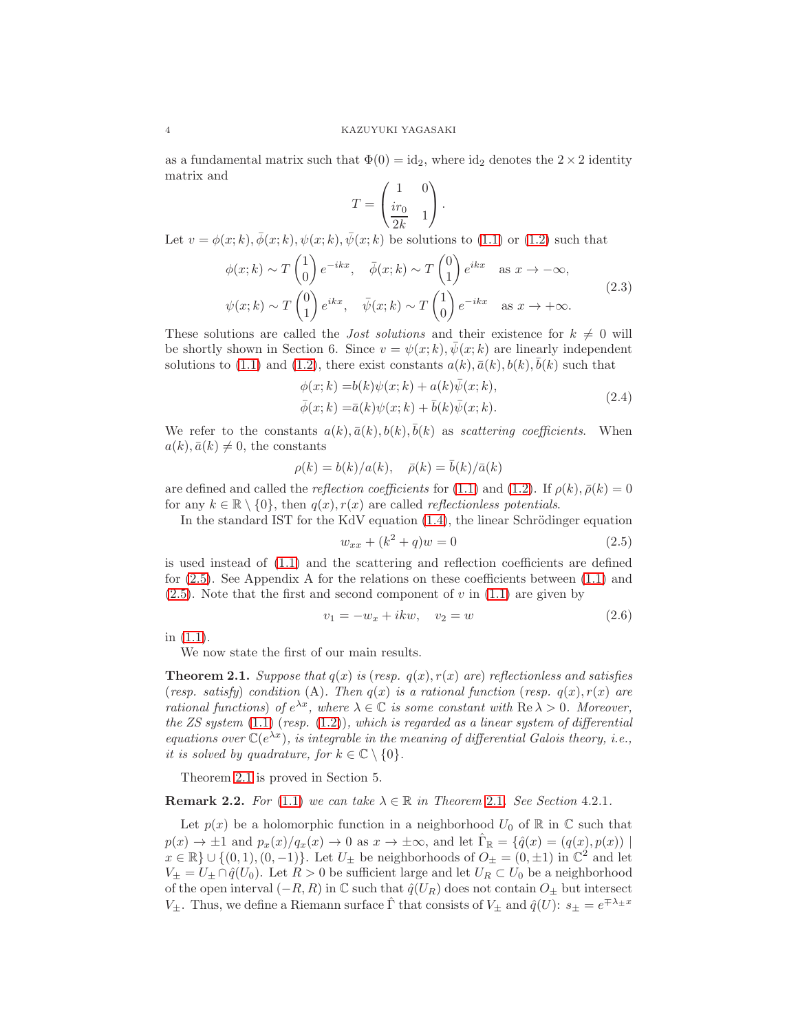as a fundamental matrix such that  $\Phi(0) = id_2$ , where  $id_2$  denotes the  $2 \times 2$  identity matrix and

$$
T = \begin{pmatrix} 1 & 0 \\ \frac{ir_0}{2k} & 1 \end{pmatrix}.
$$

Let  $v = \phi(x; k), \overline{\phi}(x; k), \psi(x; k), \overline{\psi}(x; k)$  be solutions to [\(1.1\)](#page-0-0) or [\(1.2\)](#page-0-1) such that

$$
\phi(x;k) \sim T\begin{pmatrix} 1 \\ 0 \end{pmatrix} e^{-ikx}, \quad \bar{\phi}(x;k) \sim T\begin{pmatrix} 0 \\ 1 \end{pmatrix} e^{ikx} \quad \text{as } x \to -\infty,
$$
  

$$
\psi(x;k) \sim T\begin{pmatrix} 0 \\ 1 \end{pmatrix} e^{ikx}, \quad \bar{\psi}(x;k) \sim T\begin{pmatrix} 1 \\ 0 \end{pmatrix} e^{-ikx} \quad \text{as } x \to +\infty.
$$
 (2.3)

<span id="page-3-2"></span>These solutions are called the *Jost solutions* and their existence for  $k \neq 0$  will be shortly shown in Section 6. Since  $v = \psi(x; k), \psi(x; k)$  are linearly independent solutions to [\(1.1\)](#page-0-0) and [\(1.2\)](#page-0-1), there exist constants  $a(k)$ ,  $\bar{a}(k)$ ,  $\bar{b}(k)$ ,  $\bar{b}(k)$  such that

$$
\begin{aligned} \phi(x;k) &= b(k)\psi(x;k) + a(k)\bar{\psi}(x;k), \\ \bar{\phi}(x;k) &= \bar{a}(k)\psi(x;k) + \bar{b}(k)\bar{\psi}(x;k). \end{aligned} \tag{2.4}
$$

<span id="page-3-3"></span>We refer to the constants  $a(k), \bar{a}(k), b(k), \bar{b}(k)$  as scattering coefficients. When  $a(k), \bar{a}(k) \neq 0$ , the constants

$$
\rho(k)=b(k)/a(k),\quad \bar\rho(k)=\bar b(k)/\bar a(k)
$$

are defined and called the *reflection coefficients* for [\(1.1\)](#page-0-0) and [\(1.2\)](#page-0-1). If  $\rho(k)$ ,  $\bar{\rho}(k) = 0$ for any  $k \in \mathbb{R} \setminus \{0\}$ , then  $q(x), r(x)$  are called *reflectionless potentials*.

In the standard IST for the KdV equation  $(1.4)$ , the linear Schrödinger equation

<span id="page-3-0"></span>
$$
w_{xx} + (k^2 + q)w = 0 \tag{2.5}
$$

is used instead of [\(1.1\)](#page-0-0) and the scattering and reflection coefficients are defined for [\(2.5\)](#page-3-0). See Appendix A for the relations on these coefficients between [\(1.1\)](#page-0-0) and  $(2.5)$ . Note that the first and second component of v in  $(1.1)$  are given by

<span id="page-3-4"></span>
$$
v_1 = -w_x + ikw, \quad v_2 = w \tag{2.6}
$$

in [\(1.1\)](#page-0-0).

We now state the first of our main results.

<span id="page-3-1"></span>**Theorem 2.1.** Suppose that  $q(x)$  is (resp.  $q(x)$ ,  $r(x)$  are) reflectionless and satisfies (resp. satisfy) condition (A). Then  $q(x)$  is a rational function (resp.  $q(x)$ ,  $r(x)$  are rational functions) of  $e^{\lambda x}$ , where  $\lambda \in \mathbb{C}$  is some constant with  $\text{Re }\lambda > 0$ . Moreover, the ZS system  $(1.1)$  (resp.  $(1.2)$ ), which is regarded as a linear system of differential equations over  $\mathbb{C}(e^{\lambda x})$ , is integrable in the meaning of differential Galois theory, i.e., it is solved by quadrature, for  $k \in \mathbb{C} \setminus \{0\}$ .

Theorem [2.1](#page-3-1) is proved in Section 5.

**Remark [2](#page-3-1).2.** For [\(1.1\)](#page-0-0) we can take  $\lambda \in \mathbb{R}$  in Theorem 2.1. See Section 4.2.1.

Let  $p(x)$  be a holomorphic function in a neighborhood  $U_0$  of  $\mathbb R$  in  $\mathbb C$  such that  $p(x) \to \pm 1$  and  $p_x(x)/q_x(x) \to 0$  as  $x \to \pm \infty$ , and let  $\hat{\Gamma}_{\mathbb{R}} = \{\hat{q}(x) = (q(x), p(x)) \mid$  $x \in \mathbb{R} \} \cup \{ (0, 1), (0, -1) \}.$  Let  $U_{\pm}$  be neighborhoods of  $O_{\pm} = (0, \pm 1)$  in  $\mathbb{C}^2$  and let  $V_{\pm} = U_{\pm} \cap \hat{q}(U_0)$ . Let  $R > 0$  be sufficient large and let  $U_R \subset U_0$  be a neighborhood of the open interval  $(-R, R)$  in  $\mathbb C$  such that  $\hat{q}(U_R)$  does not contain  $O_{\pm}$  but intersect  $V_{\pm}$ . Thus, we define a Riemann surface  $\hat{\Gamma}$  that consists of  $V_{\pm}$  and  $\hat{q}(U)$ :  $s_{\pm} = e^{\mp \lambda_{\pm} x}$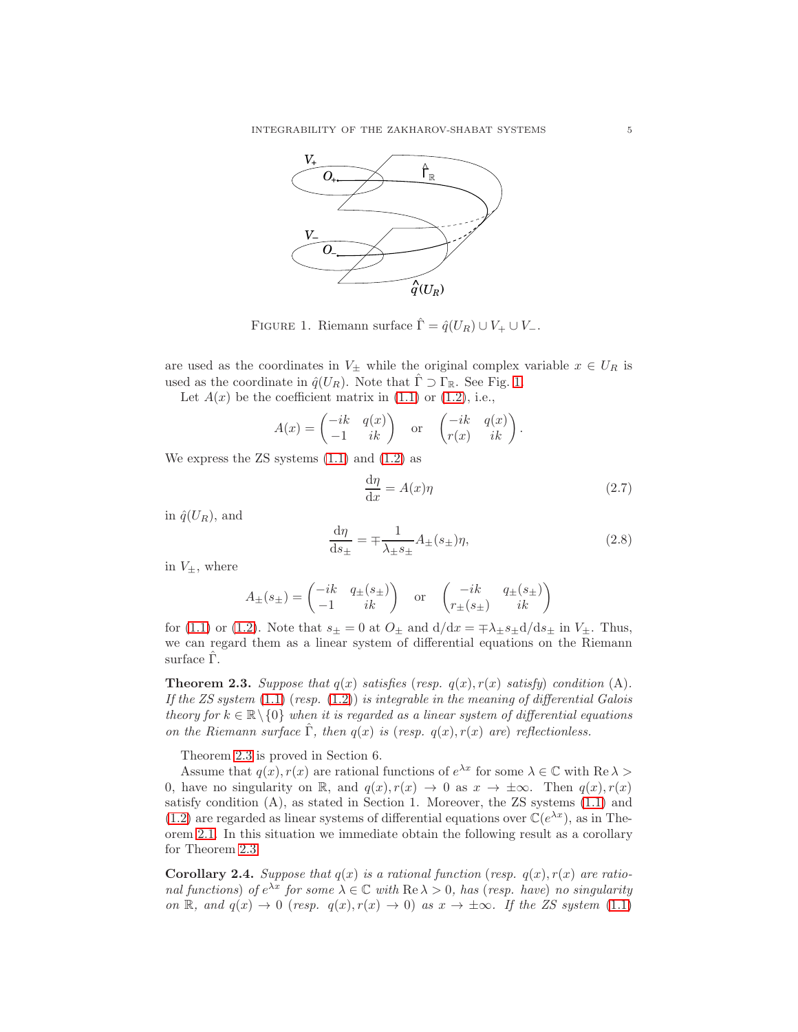

<span id="page-4-0"></span>FIGURE 1. Riemann surface  $\hat{\Gamma} = \hat{q}(U_R) \cup V_+ \cup V_-$ .

are used as the coordinates in  $V_{\pm}$  while the original complex variable  $x \in U_R$  is used as the coordinate in  $\hat{q}(U_R)$ . Note that  $\Gamma \supset \Gamma_{\mathbb{R}}$ . See Fig. [1.](#page-4-0)

Let  $A(x)$  be the coefficient matrix in  $(1.1)$  or  $(1.2)$ , i.e.,

$$
A(x) = \begin{pmatrix} -ik & q(x) \\ -1 & ik \end{pmatrix} \text{ or } \begin{pmatrix} -ik & q(x) \\ r(x) & ik \end{pmatrix}.
$$

We express the  $\text{ZS}$  systems  $(1.1)$  and  $(1.2)$  as

<span id="page-4-4"></span>
$$
\frac{\mathrm{d}\eta}{\mathrm{d}x} = A(x)\eta \tag{2.7}
$$

in  $\hat{q}(U_R)$ , and

<span id="page-4-3"></span>
$$
\frac{d\eta}{ds_{\pm}} = \mp \frac{1}{\lambda_{\pm} s_{\pm}} A_{\pm}(s_{\pm}) \eta,
$$
\n(2.8)

in  $V_{\pm}$ , where

$$
A_{\pm}(s_{\pm}) = \begin{pmatrix} -ik & q_{\pm}(s_{\pm}) \\ -1 & ik \end{pmatrix} \text{ or } \begin{pmatrix} -ik & q_{\pm}(s_{\pm}) \\ r_{\pm}(s_{\pm}) & ik \end{pmatrix}
$$

for [\(1.1\)](#page-0-0) or [\(1.2\)](#page-0-1). Note that  $s_{\pm} = 0$  at  $O_{\pm}$  and  $d/dx = \pm \lambda_{\pm} s_{\pm} d/ds_{\pm}$  in  $V_{\pm}$ . Thus, we can regard them as a linear system of differential equations on the Riemann surface  $\Gamma$ .

<span id="page-4-1"></span>**Theorem 2.3.** Suppose that  $q(x)$  satisfies (resp.  $q(x)$ ,  $r(x)$  satisfy) condition (A). If the ZS system  $(1.1)$  (resp.  $(1.2)$ ) is integrable in the meaning of differential Galois theory for  $k \in \mathbb{R} \setminus \{0\}$  when it is regarded as a linear system of differential equations on the Riemann surface  $\Gamma$ , then  $q(x)$  is (resp.  $q(x)$ ,  $r(x)$  are) reflectionless.

Theorem [2.3](#page-4-1) is proved in Section 6.

Assume that  $q(x)$ ,  $r(x)$  are rational functions of  $e^{\lambda x}$  for some  $\lambda \in \mathbb{C}$  with Re  $\lambda >$ 0, have no singularity on R, and  $q(x), r(x) \to 0$  as  $x \to \pm \infty$ . Then  $q(x), r(x)$ satisfy condition (A), as stated in Section 1. Moreover, the ZS systems [\(1.1\)](#page-0-0) and [\(1.2\)](#page-0-1) are regarded as linear systems of differential equations over  $\mathbb{C}(e^{\lambda x})$ , as in Theorem [2.1.](#page-3-1) In this situation we immediate obtain the following result as a corollary for Theorem [2.3.](#page-4-1)

<span id="page-4-2"></span>**Corollary 2.4.** Suppose that  $q(x)$  is a rational function (resp.  $q(x)$ ,  $r(x)$  are rational functions) of  $e^{\lambda x}$  for some  $\lambda \in \mathbb{C}$  with  $\text{Re }\lambda > 0$ , has (resp. have) no singularity on R, and  $q(x) \to 0$  (resp.  $q(x), r(x) \to 0$ ) as  $x \to \pm \infty$ . If the ZS system [\(1.1\)](#page-0-0)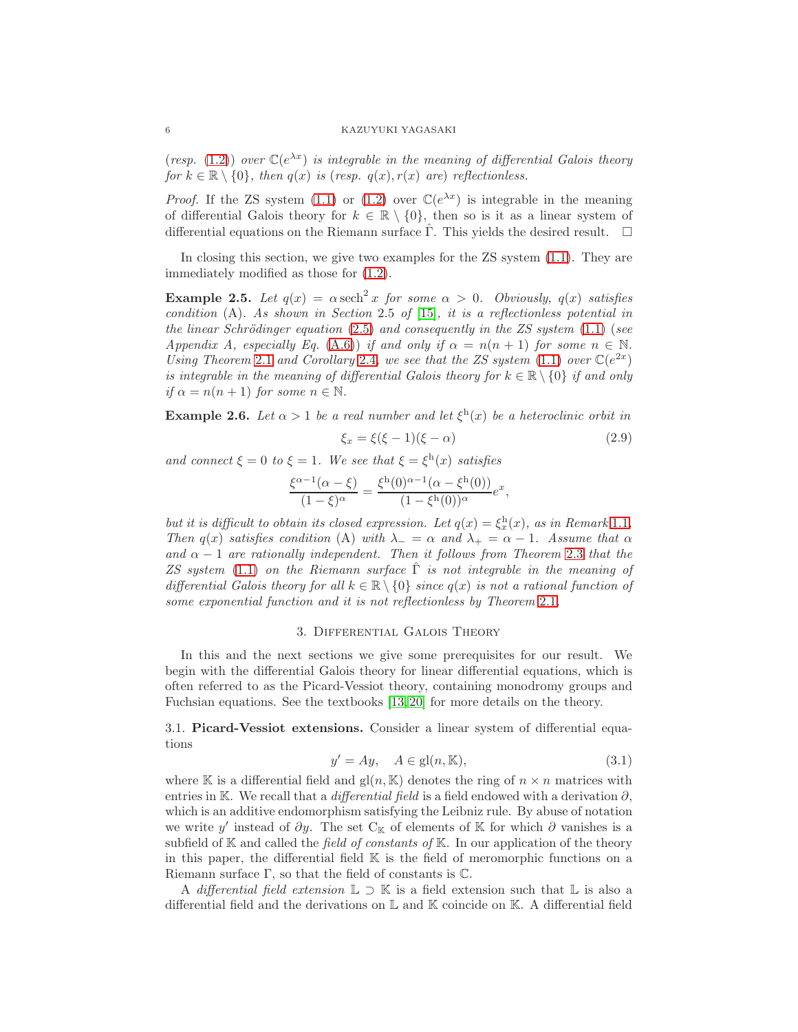(resp. [\(1.2\)](#page-0-1)) over  $\mathbb{C}(e^{\lambda x})$  is integrable in the meaning of differential Galois theory for  $k \in \mathbb{R} \setminus \{0\}$ , then  $q(x)$  is (resp.  $q(x)$ ,  $r(x)$  are) reflectionless.

*Proof.* If the ZS system [\(1.1\)](#page-0-0) or [\(1.2\)](#page-0-1) over  $\mathbb{C}(e^{\lambda x})$  is integrable in the meaning of differential Galois theory for  $k \in \mathbb{R} \setminus \{0\}$ , then so is it as a linear system of differential equations on the Riemann surface  $\hat{\Gamma}$ . This yields the desired result.  $\Box$ 

In closing this section, we give two examples for the ZS system [\(1.1\)](#page-0-0). They are immediately modified as those for [\(1.2\)](#page-0-1).

**Example 2.5.** Let  $q(x) = \alpha \operatorname{sech}^2 x$  for some  $\alpha > 0$ . Obviously,  $q(x)$  satisfies condition  $(A)$ . As shown in Section 2.5 of [\[15\]](#page-16-3), it is a reflectionless potential in the linear Schrödinger equation  $(2.5)$  and consequently in the ZS system  $(1.1)$  (see Appendix A, especially Eq. [\(A.6\)](#page-16-17)) if and only if  $\alpha = n(n+1)$  for some  $n \in \mathbb{N}$ . Using Theorem [2](#page-4-2).1 and Corollary 2.4, we see that the ZS system [\(1.1\)](#page-0-0) over  $\mathbb{C}(e^{2x})$ is integrable in the meaning of differential Galois theory for  $k \in \mathbb{R} \setminus \{0\}$  if and only if  $\alpha = n(n+1)$  for some  $n \in \mathbb{N}$ .

**Example 2.6.** Let  $\alpha > 1$  be a real number and let  $\xi^h(x)$  be a heteroclinic orbit in

$$
\xi_x = \xi(\xi - 1)(\xi - \alpha) \tag{2.9}
$$

and connect  $\xi = 0$  to  $\xi = 1$ . We see that  $\xi = \xi^{\text{h}}(x)$  satisfies

$$
\frac{\xi^{\alpha-1}(\alpha-\xi)}{(1-\xi)^{\alpha}} = \frac{\xi^{h}(0)^{\alpha-1}(\alpha-\xi^{h}(0))}{(1-\xi^{h}(0))^{\alpha}}e^{x},
$$

but it is difficult to obtain its closed expression. Let  $q(x) = \xi_x^h(x)$ , as in Remark [1](#page-1-4).1, Then  $q(x)$  satisfies condition (A) with  $\lambda_+ = \alpha$  and  $\lambda_+ = \alpha - 1$ . Assume that  $\alpha$ and  $\alpha - 1$  are rationally independent. Then it follows from Theorem [2](#page-4-1).3 that the ZS system [\(1.1\)](#page-0-0) on the Riemann surface  $\Gamma$  is not integrable in the meaning of differential Galois theory for all  $k \in \mathbb{R} \setminus \{0\}$  since  $q(x)$  is not a rational function of some exponential function and it is not reflectionless by Theorem [2](#page-3-1).1.

### 3. Differential Galois Theory

In this and the next sections we give some prerequisites for our result. We begin with the differential Galois theory for linear differential equations, which is often referred to as the Picard-Vessiot theory, containing monodromy groups and Fuchsian equations. See the textbooks [\[13,](#page-16-5) [20\]](#page-16-6) for more details on the theory.

3.1. Picard-Vessiot extensions. Consider a linear system of differential equations

<span id="page-5-0"></span>
$$
y' = Ay, \quad A \in \text{gl}(n, \mathbb{K}),\tag{3.1}
$$

where K is a differential field and  $gl(n, K)$  denotes the ring of  $n \times n$  matrices with entries in K. We recall that a *differential field* is a field endowed with a derivation  $\partial$ , which is an additive endomorphism satisfying the Leibniz rule. By abuse of notation we write y' instead of  $\partial y$ . The set C<sub>K</sub> of elements of K for which  $\partial$  vanishes is a subfield of  $K$  and called the *field of constants of*  $K$ . In our application of the theory in this paper, the differential field K is the field of meromorphic functions on a Riemann surface  $\Gamma$ , so that the field of constants is  $\mathbb{C}$ .

A differential field extension  $\mathbb{L} \supset \mathbb{K}$  is a field extension such that  $\mathbb{L}$  is also a differential field and the derivations on  $\mathbb L$  and  $\mathbb K$  coincide on  $\mathbb K$ . A differential field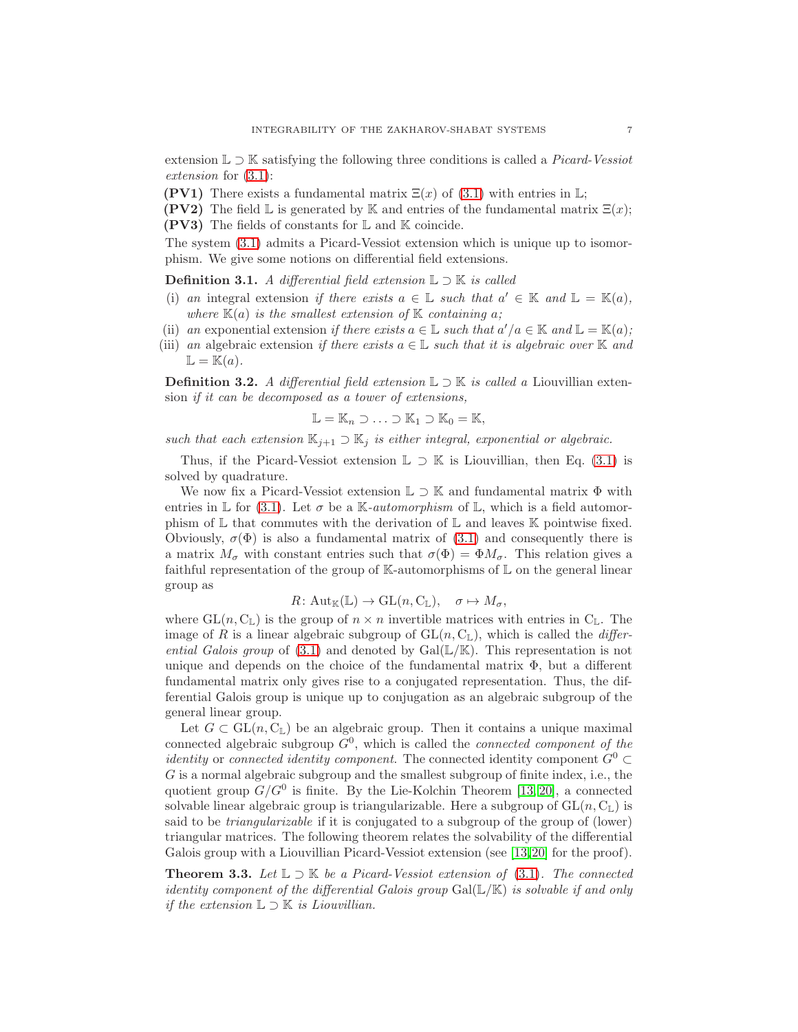extension  $\mathbb{L} \supset \mathbb{K}$  satisfying the following three conditions is called a *Picard-Vessiot* extension for [\(3.1\)](#page-5-0):

**(PV1)** There exists a fundamental matrix  $\Xi(x)$  of [\(3.1\)](#page-5-0) with entries in  $\mathbb{L}$ ;

**(PV2)** The field  $\mathbb{L}$  is generated by K and entries of the fundamental matrix  $\mathbb{E}(x)$ ; **(PV3)** The fields of constants for  $\mathbb{L}$  and  $\mathbb{K}$  coincide.

The system [\(3.1\)](#page-5-0) admits a Picard-Vessiot extension which is unique up to isomorphism. We give some notions on differential field extensions.

**Definition 3.1.** A differential field extension  $\mathbb{L}$  ⊃ K is called

- (i) an integral extension if there exists  $a \in \mathbb{L}$  such that  $a' \in \mathbb{K}$  and  $\mathbb{L} = \mathbb{K}(a)$ , where  $\mathbb{K}(a)$  is the smallest extension of  $\mathbb{K}$  containing a;
- (ii) an exponential extension if there exists  $a \in \mathbb{L}$  such that  $a'/a \in \mathbb{K}$  and  $\mathbb{L} = \mathbb{K}(a)$ ;
- (iii) an algebraic extension if there exists  $a \in \mathbb{L}$  such that it is algebraic over K and  $\mathbb{L} = \mathbb{K}(a).$

**Definition 3.2.** A differential field extension  $\mathbb{L}$  ⊃ K is called a Liouvillian extension if it can be decomposed as a tower of extensions,

$$
\mathbb{L} = \mathbb{K}_n \supset \ldots \supset \mathbb{K}_1 \supset \mathbb{K}_0 = \mathbb{K},
$$

such that each extension  $\mathbb{K}_{j+1} \supset \mathbb{K}_j$  is either integral, exponential or algebraic.

Thus, if the Picard-Vessiot extension  $\mathbb{L} \supset \mathbb{K}$  is Liouvillian, then Eq. [\(3.1\)](#page-5-0) is solved by quadrature.

We now fix a Picard-Vessiot extension  $\mathbb{L} \supset \mathbb{K}$  and fundamental matrix  $\Phi$  with entries in  $\mathbb L$  for [\(3.1\)](#page-5-0). Let  $\sigma$  be a K-*automorphism* of  $\mathbb L$ , which is a field automorphism of  $\mathbb L$  that commutes with the derivation of  $\mathbb L$  and leaves  $\mathbb K$  pointwise fixed. Obviously,  $\sigma(\Phi)$  is also a fundamental matrix of [\(3.1\)](#page-5-0) and consequently there is a matrix  $M_{\sigma}$  with constant entries such that  $\sigma(\Phi) = \Phi M_{\sigma}$ . This relation gives a faithful representation of the group of  $\mathbb{K}$ -automorphisms of  $\mathbb{L}$  on the general linear group as

$$
R: \mathrm{Aut}_{\mathbb{K}}(\mathbb{L}) \to \mathrm{GL}(n, \mathrm{C}_{\mathbb{L}}), \quad \sigma \mapsto M_{\sigma},
$$

where  $GL(n, C_{\mathbb{L}})$  is the group of  $n \times n$  invertible matrices with entries in  $C_{\mathbb{L}}$ . The image of R is a linear algebraic subgroup of  $GL(n, \mathbb{C}_L)$ , which is called the *differ*ential Galois group of  $(3.1)$  and denoted by Gal $(\mathbb{L}/\mathbb{K})$ . This representation is not unique and depends on the choice of the fundamental matrix  $\Phi$ , but a different fundamental matrix only gives rise to a conjugated representation. Thus, the differential Galois group is unique up to conjugation as an algebraic subgroup of the general linear group.

Let  $G \subset GL(n, \mathbb{C}_{\mathbb{L}})$  be an algebraic group. Then it contains a unique maximal connected algebraic subgroup  $G^0$ , which is called the *connected component of the identity* or *connected identity component*. The connected identity component  $G^0$ G is a normal algebraic subgroup and the smallest subgroup of finite index, i.e., the quotient group  $G/G^0$  is finite. By the Lie-Kolchin Theorem [\[13,](#page-16-5) [20\]](#page-16-6), a connected solvable linear algebraic group is triangularizable. Here a subgroup of  $GL(n, C_{\mathbb{L}})$  is said to be triangularizable if it is conjugated to a subgroup of the group of (lower) triangular matrices. The following theorem relates the solvability of the differential Galois group with a Liouvillian Picard-Vessiot extension (see [\[13,](#page-16-5)[20\]](#page-16-6) for the proof).

<span id="page-6-0"></span>**Theorem 3.3.** Let  $\mathbb{L} \supset \mathbb{K}$  be a Picard-Vessiot extension of [\(3.1\)](#page-5-0). The connected identity component of the differential Galois group  $Gal(\mathbb{L}/\mathbb{K})$  is solvable if and only *if the extension*  $\mathbb{L} \supset \mathbb{K}$  *is Liouvillian.*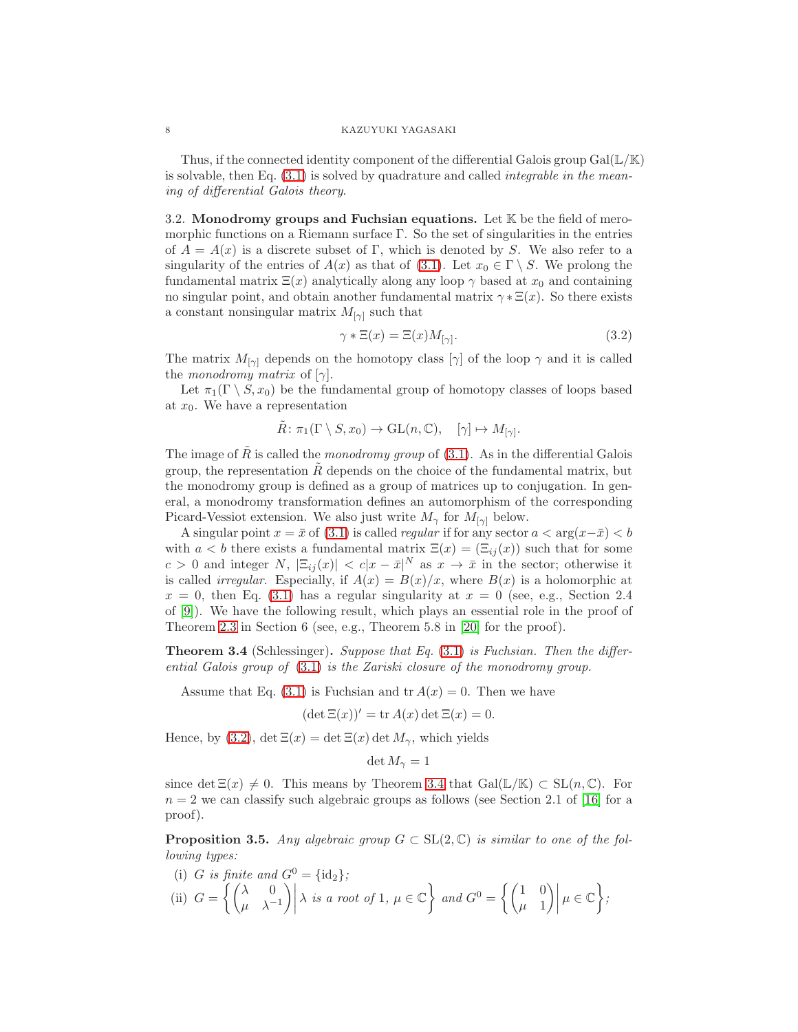Thus, if the connected identity component of the differential Galois group  $Gal(\mathbb{L}/\mathbb{K})$ is solvable, then Eq.  $(3.1)$  is solved by quadrature and called *integrable in the mean*ing of differential Galois theory.

3.2. Monodromy groups and Fuchsian equations. Let  $K$  be the field of meromorphic functions on a Riemann surface  $\Gamma$ . So the set of singularities in the entries of  $A = A(x)$  is a discrete subset of Γ, which is denoted by S. We also refer to a singularity of the entries of  $A(x)$  as that of [\(3.1\)](#page-5-0). Let  $x_0 \in \Gamma \setminus S$ . We prolong the fundamental matrix  $\Xi(x)$  analytically along any loop  $\gamma$  based at  $x_0$  and containing no singular point, and obtain another fundamental matrix  $\gamma \ast \Xi(x)$ . So there exists a constant nonsingular matrix  $M_{[\gamma]}$  such that

<span id="page-7-0"></span>
$$
\gamma * \Xi(x) = \Xi(x) M_{[\gamma]}.
$$
\n(3.2)

The matrix  $M_{[\gamma]}$  depends on the homotopy class  $[\gamma]$  of the loop  $\gamma$  and it is called the monodromy matrix of  $[\gamma]$ .

Let  $\pi_1(\Gamma \setminus S, x_0)$  be the fundamental group of homotopy classes of loops based at  $x_0$ . We have a representation

$$
\tilde{R} \colon \pi_1(\Gamma \setminus S, x_0) \to \mathrm{GL}(n, \mathbb{C}), \quad [\gamma] \mapsto M_{[\gamma]}.
$$

The image of R is called the monodromy group of  $(3.1)$ . As in the differential Galois group, the representation  $R$  depends on the choice of the fundamental matrix, but the monodromy group is defined as a group of matrices up to conjugation. In general, a monodromy transformation defines an automorphism of the corresponding Picard-Vessiot extension. We also just write  $M_{\gamma}$  for  $M_{[\gamma]}$  below.

A singular point  $x = \bar{x}$  of [\(3.1\)](#page-5-0) is called *regular* if for any sector  $a < \arg(x - \bar{x}) < b$ with  $a < b$  there exists a fundamental matrix  $\Xi(x) = (\Xi_{ij}(x))$  such that for some c > 0 and integer N,  $|\Xi_{ij}(x)| < c|x-\bar{x}|^N$  as  $x \to \bar{x}$  in the sector; otherwise it is called *irregular*. Especially, if  $A(x) = B(x)/x$ , where  $B(x)$  is a holomorphic at  $x = 0$ , then Eq. [\(3.1\)](#page-5-0) has a regular singularity at  $x = 0$  (see, e.g., Section 2.4) of [\[9\]](#page-16-18)). We have the following result, which plays an essential role in the proof of Theorem [2.3](#page-4-1) in Section 6 (see, e.g., Theorem 5.8 in [\[20\]](#page-16-6) for the proof).

<span id="page-7-1"></span>Theorem 3.4 (Schlessinger). Suppose that Eq. [\(3.1\)](#page-5-0) is Fuchsian. Then the differential Galois group of [\(3.1\)](#page-5-0) is the Zariski closure of the monodromy group.

Assume that Eq. [\(3.1\)](#page-5-0) is Fuchsian and  $tr A(x) = 0$ . Then we have

$$
(\det \Xi(x))' = \operatorname{tr} A(x) \det \Xi(x) = 0.
$$

Hence, by [\(3.2\)](#page-7-0),  $\det \Xi(x) = \det \Xi(x) \det M_{\gamma}$ , which yields

$$
\det M_{\gamma}=1
$$

since det  $\Xi(x) \neq 0$ . This means by Theorem [3.4](#page-7-1) that  $Gal(\mathbb{L}/\mathbb{K}) \subset SL(n,\mathbb{C})$ . For  $n = 2$  we can classify such algebraic groups as follows (see Section 2.1 of [\[16\]](#page-16-8) for a proof).

<span id="page-7-2"></span>**Proposition 3.5.** Any algebraic group  $G \subset SL(2,\mathbb{C})$  is similar to one of the following types:

(i) *G* is finite and 
$$
G^0 = {\text{id}_2}
$$
;  
\n(ii)  $G = \left\{ \begin{pmatrix} \lambda & 0 \\ \mu & \lambda^{-1} \end{pmatrix} \middle| \lambda \text{ is a root of } 1, \mu \in \mathbb{C} \right\}$  and  $G^0 = \left\{ \begin{pmatrix} 1 & 0 \\ \mu & 1 \end{pmatrix} \middle| \mu \in \mathbb{C} \right\}$ ;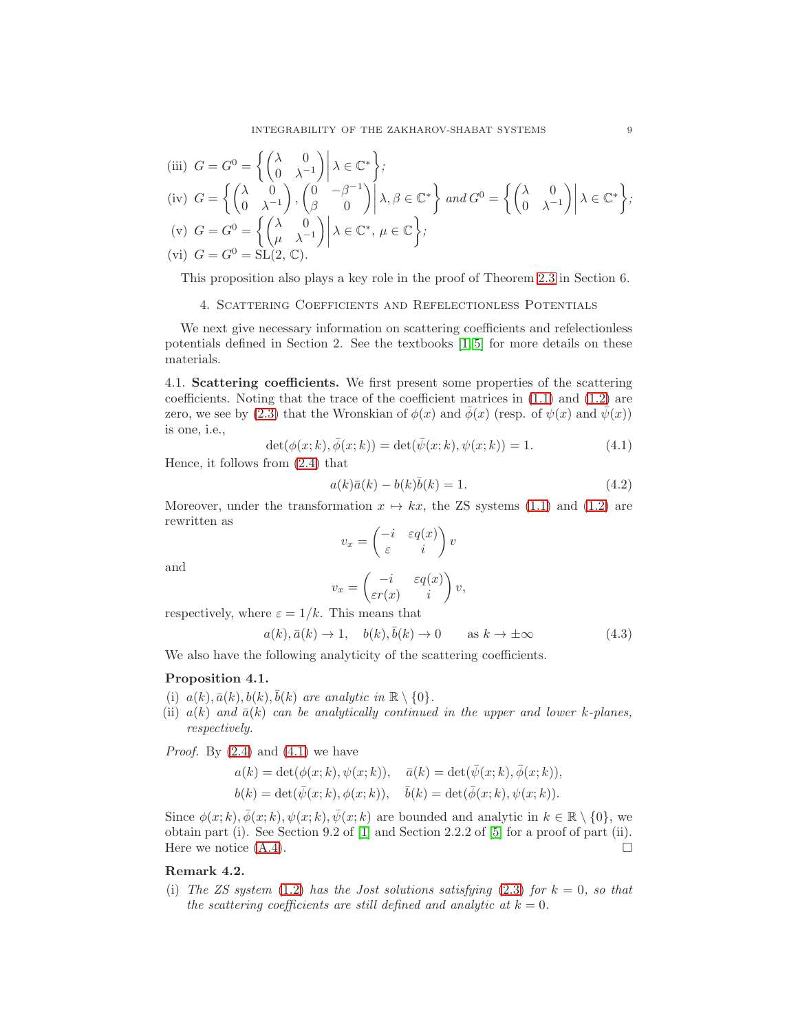(iii) 
$$
G = G^0 = \left\{ \begin{pmatrix} \lambda & 0 \\ 0 & \lambda^{-1} \end{pmatrix} \middle| \lambda \in \mathbb{C}^* \right\};
$$
  
\n(iv)  $G = \left\{ \begin{pmatrix} \lambda & 0 \\ 0 & \lambda^{-1} \end{pmatrix}, \begin{pmatrix} 0 & -\beta^{-1} \\ \beta & 0 \end{pmatrix} \middle| \lambda, \beta \in \mathbb{C}^* \right\} \text{ and } G^0 = \left\{ \begin{pmatrix} \lambda & 0 \\ 0 & \lambda^{-1} \end{pmatrix} \middle| \lambda \in \mathbb{C}^* \right\};$   
\n(v)  $G = G^0 = \left\{ \begin{pmatrix} \lambda & 0 \\ \mu & \lambda^{-1} \end{pmatrix} \middle| \lambda \in \mathbb{C}^*, \mu \in \mathbb{C} \right\};$   
\n(vi)  $G = G^0 = SL(2, \mathbb{C}).$ 

This proposition also plays a key role in the proof of Theorem [2.3](#page-4-1) in Section 6.

4. Scattering Coefficients and Refelectionless Potentials

We next give necessary information on scattering coefficients and refelectionless potentials defined in Section 2. See the textbooks  $[1, 5]$  $[1, 5]$  for more details on these materials.

4.1. Scattering coefficients. We first present some properties of the scattering coefficients. Noting that the trace of the coefficient matrices in [\(1.1\)](#page-0-0) and [\(1.2\)](#page-0-1) are zero, we see by [\(2.3\)](#page-3-2) that the Wronskian of  $\phi(x)$  and  $\bar{\phi}(x)$  (resp. of  $\psi(x)$  and  $\bar{\psi}(x)$ ) is one, i.e.,

<span id="page-8-0"></span>
$$
\det(\phi(x;k), \bar{\phi}(x;k)) = \det(\bar{\psi}(x;k), \psi(x;k)) = 1.
$$
 (4.1)

Hence, it follows from [\(2.4\)](#page-3-3) that

<span id="page-8-3"></span>
$$
a(k)\bar{a}(k) - b(k)\bar{b}(k) = 1.
$$
\n(4.2)

Moreover, under the transformation  $x \mapsto kx$ , the ZS systems [\(1.1\)](#page-0-0) and [\(1.2\)](#page-0-1) are rewritten as

$$
v_x = \begin{pmatrix} -i & \varepsilon q(x) \\ \varepsilon & i \end{pmatrix} v
$$

and

$$
v_x = \begin{pmatrix} -i & \varepsilon q(x) \\ \varepsilon r(x) & i \end{pmatrix} v,
$$

respectively, where  $\varepsilon = 1/k$ . This means that

<span id="page-8-2"></span>
$$
a(k), \bar{a}(k) \to 1, \quad b(k), \bar{b}(k) \to 0 \qquad \text{as } k \to \pm \infty \tag{4.3}
$$

We also have the following analyticity of the scattering coefficients.

## <span id="page-8-1"></span>Proposition 4.1.

- (i)  $a(k), \bar{a}(k), b(k), \bar{b}(k)$  are analytic in  $\mathbb{R} \setminus \{0\}.$
- (ii)  $a(k)$  and  $\bar{a}(k)$  can be analytically continued in the upper and lower k-planes, respectively.

*Proof.* By  $(2.4)$  and  $(4.1)$  we have

$$
a(k) = \det(\phi(x;k), \psi(x;k)), \quad \bar{a}(k) = \det(\bar{\psi}(x;k), \bar{\phi}(x;k)),
$$
  

$$
b(k) = \det(\bar{\psi}(x;k), \phi(x;k)), \quad \bar{b}(k) = \det(\bar{\phi}(x;k), \psi(x;k)).
$$

Since  $\phi(x; k), \bar{\phi}(x; k), \psi(x; k), \bar{\psi}(x; k)$  are bounded and analytic in  $k \in \mathbb{R} \setminus \{0\}$ , we obtain part (i). See Section 9.2 of [\[1\]](#page-16-0) and Section 2.2.2 of [\[5\]](#page-16-15) for a proof of part (ii). Here we notice  $(A.4)$ .

## Remark 4.2.

(i) The ZS system [\(1.2\)](#page-0-1) has the Jost solutions satisfying [\(2.3\)](#page-3-2) for  $k = 0$ , so that the scattering coefficients are still defined and analytic at  $k = 0$ .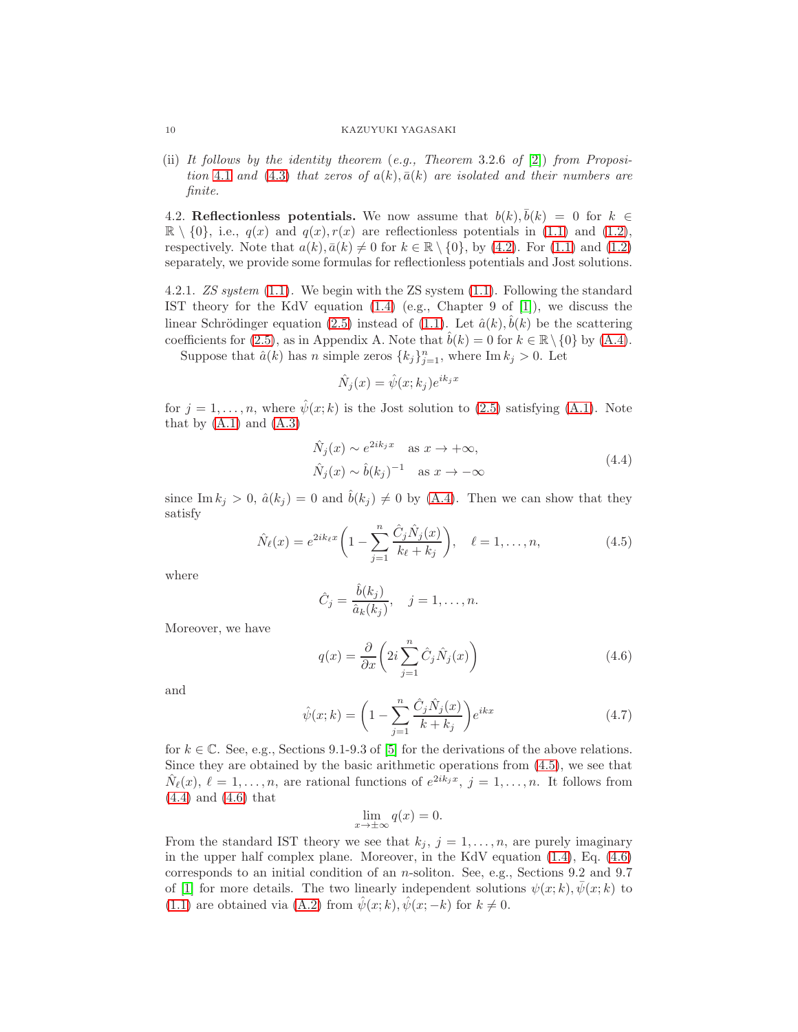(ii) It follows by the identity theorem  $(e.g., Theorem 3.2.6 of [2]) from Proposition$  $(e.g., Theorem 3.2.6 of [2]) from Proposition$  $(e.g., Theorem 3.2.6 of [2]) from Proposition$ tion [4](#page-8-1).1 and [\(4.3\)](#page-8-2) that zeros of  $a(k)$ ,  $\bar{a}(k)$  are isolated and their numbers are finite.

4.2. Reflectionless potentials. We now assume that  $b(k)$ ,  $\bar{b}(k) = 0$  for  $k \in$  $\mathbb{R} \setminus \{0\}$ , i.e.,  $q(x)$  and  $q(x)$ ,  $r(x)$  are reflectionless potentials in [\(1.1\)](#page-0-0) and [\(1.2\)](#page-0-1), respectively. Note that  $a(k), \bar{a}(k) \neq 0$  for  $k \in \mathbb{R} \setminus \{0\}$ , by [\(4.2\)](#page-8-3). For [\(1.1\)](#page-0-0) and [\(1.2\)](#page-0-1) separately, we provide some formulas for reflectionless potentials and Jost solutions.

4.2.1. ZS system [\(1.1\)](#page-0-0). We begin with the ZS system [\(1.1\)](#page-0-0). Following the standard IST theory for the KdV equation [\(1.4\)](#page-1-1) (e.g., Chapter 9 of [\[1\]](#page-16-0)), we discuss the linear Schrödinger equation [\(2.5\)](#page-3-0) instead of [\(1.1\)](#page-0-0). Let  $\hat{a}(k)$ ,  $\hat{b}(k)$  be the scattering coefficients for [\(2.5\)](#page-3-0), as in Appendix A. Note that  $\hat{b}(k) = 0$  for  $k \in \mathbb{R} \setminus \{0\}$  by [\(A.4\)](#page-15-0).

Suppose that  $\hat{a}(k)$  has n simple zeros  $\{k_j\}_{j=1}^n$ , where Im  $k_j > 0$ . Let

$$
\hat{N}_j(x) = \hat{\psi}(x; k_j) e^{ik_j x}
$$

for  $j = 1, \ldots, n$ , where  $\hat{\psi}(x; k)$  is the Jost solution to [\(2.5\)](#page-3-0) satisfying [\(A.1\)](#page-15-1). Note that by  $(A.1)$  and  $(A.3)$ 

$$
\hat{N}_j(x) \sim e^{2ik_jx} \quad \text{as } x \to +\infty,
$$
\n
$$
\hat{N}_j(x) \sim \hat{b}(k_j)^{-1} \quad \text{as } x \to -\infty
$$
\n(4.4)

<span id="page-9-1"></span>since Im  $k_j > 0$ ,  $\hat{a}(k_j) = 0$  and  $\hat{b}(k_j) \neq 0$  by [\(A.4\)](#page-15-0). Then we can show that they satisfy

<span id="page-9-0"></span>
$$
\hat{N}_{\ell}(x) = e^{2ik_{\ell}x} \left( 1 - \sum_{j=1}^{n} \frac{\hat{C}_{j} \hat{N}_{j}(x)}{k_{\ell} + k_{j}} \right), \quad \ell = 1, ..., n,
$$
\n(4.5)

where

$$
\hat{C}_j = \frac{\hat{b}(k_j)}{\hat{a}_k(k_j)}, \quad j = 1, \dots, n.
$$

Moreover, we have

<span id="page-9-2"></span>
$$
q(x) = \frac{\partial}{\partial x} \left( 2i \sum_{j=1}^{n} \hat{C}_{j} \hat{N}_{j}(x) \right)
$$
(4.6)

and

<span id="page-9-3"></span>
$$
\hat{\psi}(x;k) = \left(1 - \sum_{j=1}^{n} \frac{\hat{C}_j \hat{N}_j(x)}{k + k_j}\right) e^{ikx}
$$
\n(4.7)

for  $k \in \mathbb{C}$ . See, e.g., Sections 9.1-9.3 of [\[5\]](#page-16-15) for the derivations of the above relations. Since they are obtained by the basic arithmetic operations from [\(4.5\)](#page-9-0), we see that  $\hat{N}_{\ell}(x), \ell = 1, \ldots, n$ , are rational functions of  $e^{2ik_jx}, j = 1, \ldots, n$ . It follows from [\(4.4\)](#page-9-1) and [\(4.6\)](#page-9-2) that

$$
\lim_{x \to \pm \infty} q(x) = 0.
$$

From the standard IST theory we see that  $k_j$ ,  $j = 1, \ldots, n$ , are purely imaginary in the upper half complex plane. Moreover, in the KdV equation [\(1.4\)](#page-1-1), Eq. [\(4.6\)](#page-9-2) corresponds to an initial condition of an n-soliton. See, e.g., Sections 9.2 and 9.7 of [\[1\]](#page-16-0) for more details. The two linearly independent solutions  $\psi(x;k), \bar{\psi}(x;k)$  to [\(1.1\)](#page-0-0) are obtained via [\(A.2\)](#page-15-3) from  $\hat{\psi}(x; k), \hat{\psi}(x; -k)$  for  $k \neq 0$ .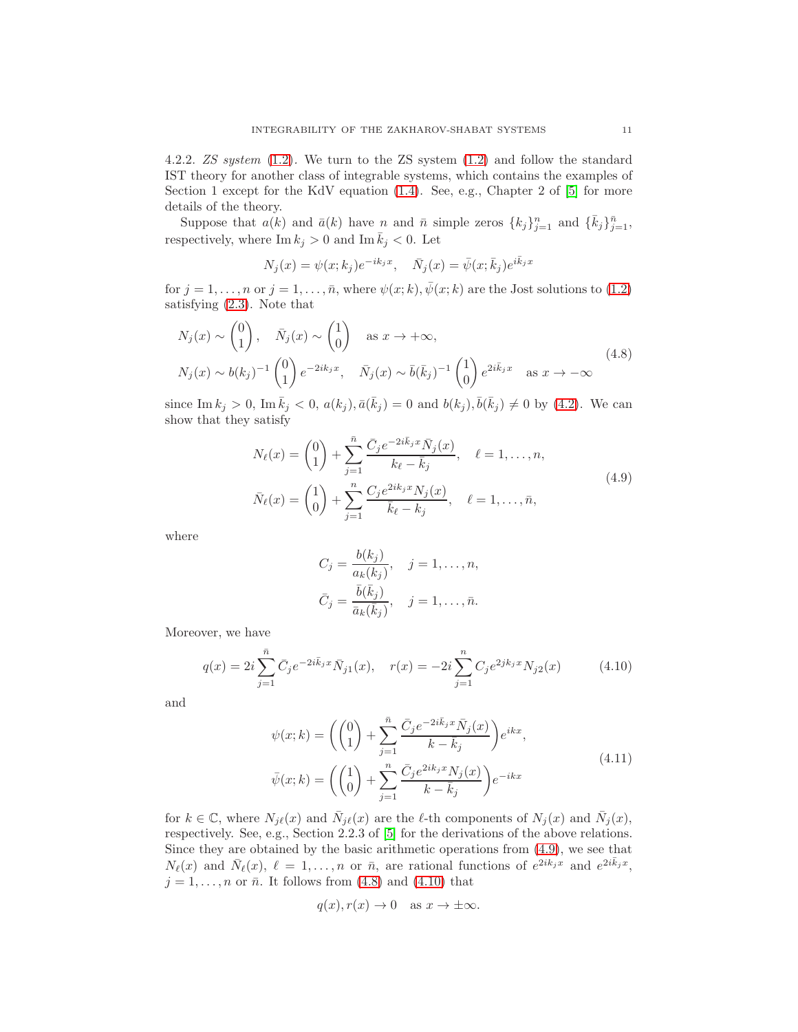4.2.2. ZS system [\(1.2\)](#page-0-1). We turn to the ZS system [\(1.2\)](#page-0-1) and follow the standard IST theory for another class of integrable systems, which contains the examples of Section 1 except for the KdV equation [\(1.4\)](#page-1-1). See, e.g., Chapter 2 of [\[5\]](#page-16-15) for more details of the theory.

Suppose that  $a(k)$  and  $\bar{a}(k)$  have n and  $\bar{n}$  simple zeros  $\{k_j\}_{j=1}^n$  and  $\{\bar{k}_j\}_{j=1}^{\bar{n}}$ , respectively, where  $\text{Im } k_j > 0$  and  $\text{Im } \overline{k}_j < 0$ . Let

$$
N_j(x) = \psi(x; k_j)e^{-ik_jx}, \quad \bar{N}_j(x) = \bar{\psi}(x; \bar{k}_j)e^{i\bar{k}_jx}
$$

for  $j = 1, \ldots, n$  or  $j = 1, \ldots, \bar{n}$ , where  $\psi(x; k)$ ,  $\bar{\psi}(x; k)$  are the Jost solutions to [\(1.2\)](#page-0-1) satisfying [\(2.3\)](#page-3-2). Note that

<span id="page-10-1"></span>
$$
N_j(x) \sim \begin{pmatrix} 0 \\ 1 \end{pmatrix}, \quad \bar{N}_j(x) \sim \begin{pmatrix} 1 \\ 0 \end{pmatrix} \quad \text{as } x \to +\infty,
$$
  

$$
N_j(x) \sim b(k_j)^{-1} \begin{pmatrix} 0 \\ 1 \end{pmatrix} e^{-2ik_jx}, \quad \bar{N}_j(x) \sim \bar{b}(\bar{k}_j)^{-1} \begin{pmatrix} 1 \\ 0 \end{pmatrix} e^{2i\bar{k}_jx} \quad \text{as } x \to -\infty
$$
 (4.8)

since Im  $k_j > 0$ , Im  $\bar{k}_j < 0$ ,  $a(k_j)$ ,  $\bar{a}(\bar{k}_j) = 0$  and  $b(k_j)$ ,  $\bar{b}(\bar{k}_j) \neq 0$  by [\(4.2\)](#page-8-3). We can show that they satisfy

$$
N_{\ell}(x) = \binom{0}{1} + \sum_{j=1}^{\bar{n}} \frac{\bar{C}_j e^{-2i\bar{k}_j x} \bar{N}_j(x)}{k_{\ell} - \bar{k}_j}, \quad \ell = 1, ..., n,
$$
  

$$
\bar{N}_{\ell}(x) = \binom{1}{0} + \sum_{j=1}^{n} \frac{C_j e^{2ik_j x} N_j(x)}{\bar{k}_{\ell} - k_j}, \quad \ell = 1, ..., \bar{n},
$$
\n(4.9)

<span id="page-10-0"></span>where

$$
C_j = \frac{b(k_j)}{a_k(k_j)}, \quad j = 1, \dots, n,
$$
  

$$
\bar{C}_j = \frac{\bar{b}(\bar{k}_j)}{\bar{a}_k(\bar{k}_j)}, \quad j = 1, \dots, \bar{n}.
$$

Moreover, we have

<span id="page-10-2"></span>
$$
q(x) = 2i \sum_{j=1}^{\bar{n}} \bar{C}_j e^{-2i\bar{k}_j x} \bar{N}_{j1}(x), \quad r(x) = -2i \sum_{j=1}^{n} C_j e^{2j k_j x} N_{j2}(x) \tag{4.10}
$$

<span id="page-10-3"></span>and

$$
\psi(x;k) = \left(\binom{0}{1} + \sum_{j=1}^{\bar{n}} \frac{\bar{C}_j e^{-2i\bar{k}_j x} \bar{N}_j(x)}{k - \bar{k}_j} \right) e^{ikx},
$$
\n
$$
\bar{\psi}(x;k) = \left(\binom{1}{0} + \sum_{j=1}^{\bar{n}} \frac{\bar{C}_j e^{2ik_j x} N_j(x)}{k - \bar{k}_j} \right) e^{-ikx}
$$
\n(4.11)

for  $k \in \mathbb{C}$ , where  $N_{j\ell}(x)$  and  $\bar{N}_{j\ell}(x)$  are the  $\ell$ -th components of  $N_j(x)$  and  $\bar{N}_j(x)$ , respectively. See, e.g., Section 2.2.3 of [\[5\]](#page-16-15) for the derivations of the above relations. Since they are obtained by the basic arithmetic operations from [\(4.9\)](#page-10-0), we see that  $N_{\ell}(x)$  and  $\bar{N}_{\ell}(x)$ ,  $\ell = 1, \ldots, n$  or  $\bar{n}$ , are rational functions of  $e^{2ik_jx}$  and  $e^{2i\bar{k}_jx}$ ,  $j = 1, \ldots, n$  or  $\bar{n}$ . It follows from [\(4.8\)](#page-10-1) and [\(4.10\)](#page-10-2) that

$$
q(x), r(x) \to 0
$$
 as  $x \to \pm \infty$ .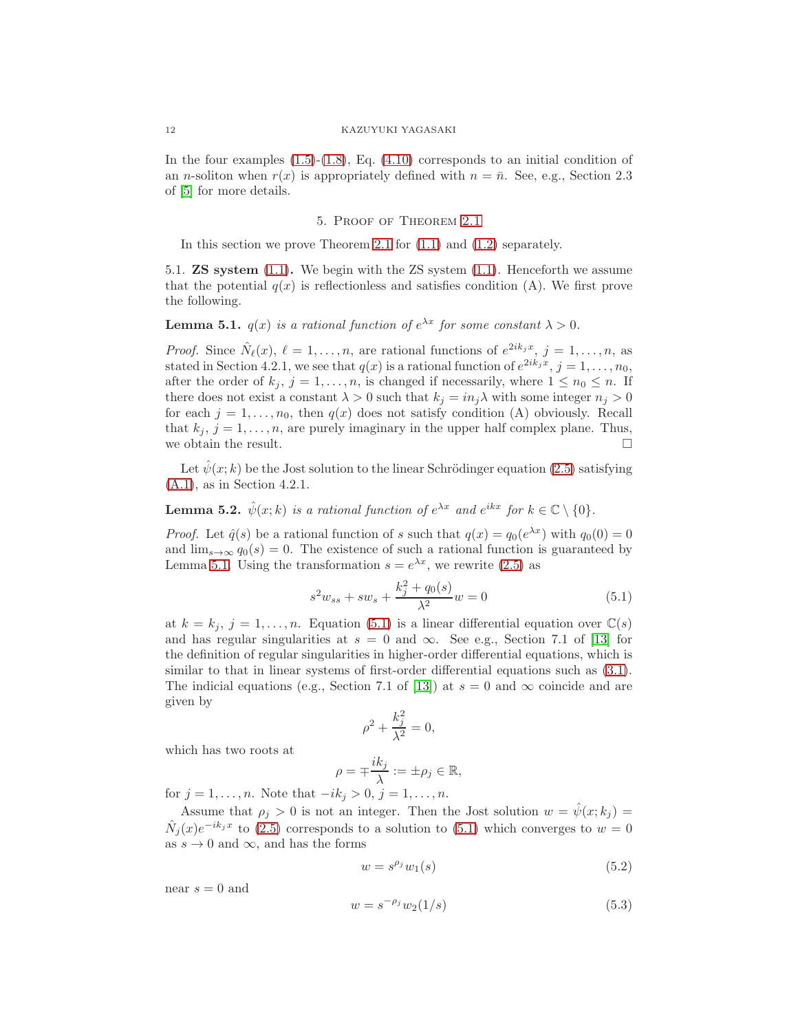In the four examples  $(1.5)-(1.8)$  $(1.5)-(1.8)$ , Eq.  $(4.10)$  corresponds to an initial condition of an *n*-soliton when  $r(x)$  is appropriately defined with  $n = \bar{n}$ . See, e.g., Section 2.3 of [\[5\]](#page-16-15) for more details.

## 5. Proof of Theorem [2.1](#page-3-1)

In this section we prove Theorem [2.1](#page-3-1) for [\(1.1\)](#page-0-0) and [\(1.2\)](#page-0-1) separately.

5.1. ZS system [\(1.1\)](#page-0-0). We begin with the ZS system [\(1.1\)](#page-0-0). Henceforth we assume that the potential  $q(x)$  is reflectionless and satisfies condition (A). We first prove the following.

<span id="page-11-0"></span>**Lemma 5.1.**  $q(x)$  is a rational function of  $e^{\lambda x}$  for some constant  $\lambda > 0$ .

*Proof.* Since  $\hat{N}_{\ell}(x), \ell = 1, \ldots, n$ , are rational functions of  $e^{2ik_jx}, j = 1, \ldots, n$ , as stated in Section 4.2.1, we see that  $q(x)$  is a rational function of  $e^{2ik_jx}$ ,  $j=1,\ldots,n_0$ , after the order of  $k_j$ ,  $j = 1, ..., n$ , is changed if necessarily, where  $1 \leq n_0 \leq n$ . If there does not exist a constant  $\lambda > 0$  such that  $k_j = in_j \lambda$  with some integer  $n_j > 0$ for each  $j = 1, \ldots, n_0$ , then  $q(x)$  does not satisfy condition (A) obviously. Recall that  $k_j$ ,  $j = 1, \ldots, n$ , are purely imaginary in the upper half complex plane. Thus, we obtain the result.  $\hfill \square$ 

Let  $\psi(x; k)$  be the Jost solution to the linear Schrödinger equation [\(2.5\)](#page-3-0) satisfying [\(A.1\)](#page-15-1), as in Section 4.2.1.

<span id="page-11-4"></span>**Lemma 5.2.**  $\hat{\psi}(x;k)$  is a rational function of  $e^{\lambda x}$  and  $e^{ikx}$  for  $k \in \mathbb{C} \setminus \{0\}$ .

*Proof.* Let  $\hat{q}(s)$  be a rational function of s such that  $q(x) = q_0(e^{\lambda x})$  with  $q_0(0) = 0$ and  $\lim_{s\to\infty} q_0(s) = 0$ . The existence of such a rational function is guaranteed by Lemma [5.1.](#page-11-0) Using the transformation  $s = e^{\lambda x}$ , we rewrite [\(2.5\)](#page-3-0) as

<span id="page-11-1"></span>
$$
s^{2}w_{ss} + sw_{s} + \frac{k_{j}^{2} + q_{0}(s)}{\lambda^{2}}w = 0
$$
\n(5.1)

at  $k = k_j$ ,  $j = 1, ..., n$ . Equation [\(5.1\)](#page-11-1) is a linear differential equation over  $\mathbb{C}(s)$ and has regular singularities at  $s = 0$  and  $\infty$ . See e.g., Section 7.1 of [\[13\]](#page-16-5) for the definition of regular singularities in higher-order differential equations, which is similar to that in linear systems of first-order differential equations such as [\(3.1\)](#page-5-0). The indicial equations (e.g., Section 7.1 of [\[13\]](#page-16-5)) at  $s = 0$  and  $\infty$  coincide and are given by

$$
\rho^2 + \frac{k_j^2}{\lambda^2} = 0,
$$

which has two roots at

$$
\rho = \mp \frac{ik_j}{\lambda} := \pm \rho_j \in \mathbb{R},
$$

for  $j = 1, ..., n$ . Note that  $-ik_j > 0, j = 1, ..., n$ .

Assume that  $\rho_j > 0$  is not an integer. Then the Jost solution  $w = \hat{\psi}(x; k_j) =$  $\hat{N}_j(x)e^{-ik_jx}$  to [\(2.5\)](#page-3-0) corresponds to a solution to [\(5.1\)](#page-11-1) which converges to  $w=0$ as  $s \to 0$  and  $\infty$ , and has the forms

<span id="page-11-3"></span><span id="page-11-2"></span>
$$
w = s^{\rho_j} w_1(s) \tag{5.2}
$$

near  $s = 0$  and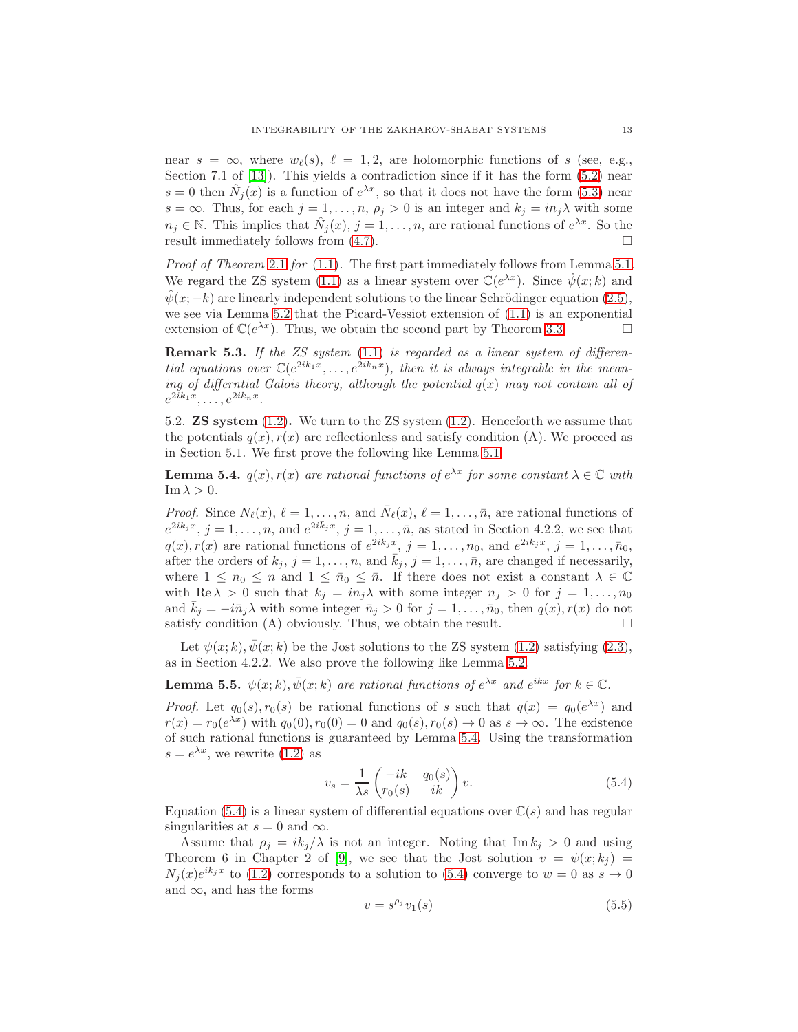near  $s = \infty$ , where  $w_{\ell}(s)$ ,  $\ell = 1, 2$ , are holomorphic functions of s (see, e.g., Section 7.1 of [\[13\]](#page-16-5)). This yields a contradiction since if it has the form [\(5.2\)](#page-11-2) near  $s = 0$  then  $\hat{N}_j(x)$  is a function of  $e^{\lambda x}$ , so that it does not have the form [\(5.3\)](#page-11-3) near s =  $\infty$ . Thus, for each j = 1, ..., n,  $\rho_j > 0$  is an integer and  $k_j = in_j \lambda$  with some  $n_j \in \mathbb{N}$ . This implies that  $\hat{N}_j(x)$ ,  $j = 1, \ldots, n$ , are rational functions of  $e^{\lambda x}$ . So the result immediately follows from  $(4.7)$ .

Proof of Theorem [2](#page-3-1).1 for [\(1.1\)](#page-0-0). The first part immediately follows from Lemma [5.1.](#page-11-0) We regard the ZS system [\(1.1\)](#page-0-0) as a linear system over  $\mathbb{C}(e^{\lambda x})$ . Since  $\hat{\psi}(x;k)$  and  $\hat{\psi}(x; -k)$  are linearly independent solutions to the linear Schrödinger equation [\(2.5\)](#page-3-0), we see via Lemma [5.2](#page-11-4) that the Picard-Vessiot extension of [\(1.1\)](#page-0-0) is an exponential extension of  $\mathbb{C}(e^{\lambda x})$ . Thus, we obtain the second part by Theorem [3.3.](#page-6-0)

<span id="page-12-3"></span>**Remark 5.3.** If the ZS system  $(1.1)$  is regarded as a linear system of differential equations over  $\mathbb{C}(e^{2ik_1x}, \ldots, e^{2ik_nx})$ , then it is always integrable in the meaning of differntial Galois theory, although the potential  $q(x)$  may not contain all of  $e^{2ik_1x},\ldots,e^{2ik_nx}.$ 

5.2. ZS system [\(1.2\)](#page-0-1). We turn to the ZS system [\(1.2\)](#page-0-1). Henceforth we assume that the potentials  $q(x)$ ,  $r(x)$  are reflectionless and satisfy condition (A). We proceed as in Section 5.1. We first prove the following like Lemma [5.1.](#page-11-0)

<span id="page-12-0"></span>**Lemma 5.4.**  $q(x)$ ,  $r(x)$  are rational functions of  $e^{\lambda x}$  for some constant  $\lambda \in \mathbb{C}$  with  $\operatorname{Im} \lambda > 0$ .

*Proof.* Since  $N_{\ell}(x)$ ,  $\ell = 1, ..., n$ , and  $\bar{N}_{\ell}(x)$ ,  $\ell = 1, ..., \bar{n}$ , are rational functions of  $e^{2ik_jx}$ ,  $j=1,\ldots,n$ , and  $e^{2i\bar{k}_jx}$ ,  $j=1,\ldots,\bar{n}$ , as stated in Section 4.2.2, we see that  $q(x), r(x)$  are rational functions of  $e^{2ik_jx}$ ,  $j = 1, \ldots, n_0$ , and  $e^{2i\bar{k}_jx}$ ,  $j = 1, \ldots, \bar{n}_0$ , after the orders of  $k_j$ ,  $j = 1, \ldots, n$ , and  $\bar{k}_j$ ,  $j = 1, \ldots, \bar{n}$ , are changed if necessarily, where  $1 \leq n_0 \leq n$  and  $1 \leq \bar{n}_0 \leq \bar{n}$ . If there does not exist a constant  $\lambda \in \mathbb{C}$ with Re  $\lambda > 0$  such that  $k_j = in_j \lambda$  with some integer  $n_j > 0$  for  $j = 1, ..., n_0$ and  $k_j = -i\bar{n}_j\lambda$  with some integer  $\bar{n}_j > 0$  for  $j = 1, \ldots, \bar{n}_0$ , then  $q(x), r(x)$  do not satisfy condition (A) obviously. Thus, we obtain the result.  $\Box$ 

Let  $\psi(x;k), \overline{\psi}(x;k)$  be the Jost solutions to the ZS system [\(1.2\)](#page-0-1) satisfying [\(2.3\)](#page-3-2), as in Section 4.2.2. We also prove the following like Lemma [5.2.](#page-11-4)

**Lemma 5.5.**  $\psi(x;k), \bar{\psi}(x;k)$  are rational functions of  $e^{\lambda x}$  and  $e^{ikx}$  for  $k \in \mathbb{C}$ .

*Proof.* Let  $q_0(s)$ ,  $r_0(s)$  be rational functions of s such that  $q(x) = q_0(e^{\lambda x})$  and  $r(x) = r_0(e^{\lambda x})$  with  $q_0(0), r_0(0) = 0$  and  $q_0(s), r_0(s) \to 0$  as  $s \to \infty$ . The existence of such rational functions is guaranteed by Lemma [5.4.](#page-12-0) Using the transformation  $s=e^{\lambda x}$ , we rewrite [\(1.2\)](#page-0-1) as

<span id="page-12-1"></span>
$$
v_s = \frac{1}{\lambda s} \begin{pmatrix} -ik & q_0(s) \\ r_0(s) & ik \end{pmatrix} v.
$$
 (5.4)

Equation [\(5.4\)](#page-12-1) is a linear system of differential equations over  $\mathbb{C}(s)$  and has regular singularities at  $s = 0$  and  $\infty$ .

Assume that  $\rho_j = ik_j/\lambda$  is not an integer. Noting that Im  $k_j > 0$  and using Theorem 6 in Chapter 2 of [\[9\]](#page-16-18), we see that the Jost solution  $v = \psi(x; k_j)$  $N_j(x)e^{ik_jx}$  to [\(1.2\)](#page-0-1) corresponds to a solution to [\(5.4\)](#page-12-1) converge to  $w=0$  as  $s\to 0$ and  $\infty$ , and has the forms

<span id="page-12-2"></span>
$$
v = s^{\rho_j} v_1(s) \tag{5.5}
$$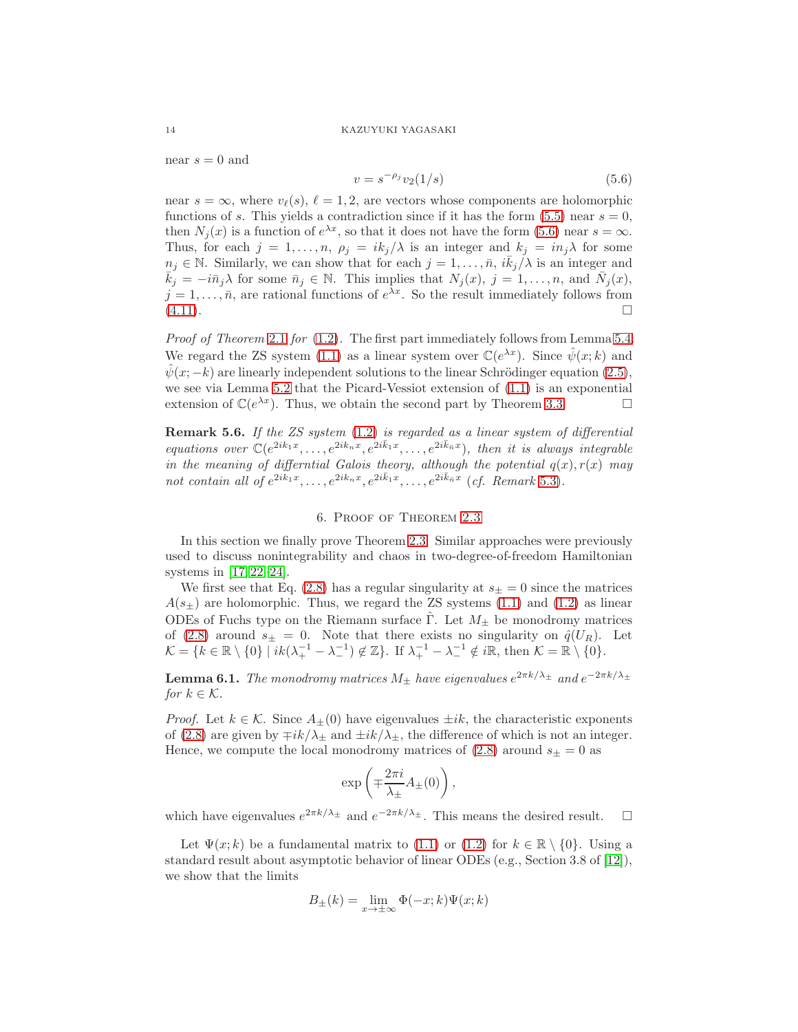near  $s = 0$  and

<span id="page-13-0"></span>
$$
v = s^{-\rho_j} v_2(1/s) \tag{5.6}
$$

near  $s = \infty$ , where  $v_{\ell}(s)$ ,  $\ell = 1, 2$ , are vectors whose components are holomorphic functions of s. This yields a contradiction since if it has the form  $(5.5)$  near  $s = 0$ , then  $N_j(x)$  is a function of  $e^{\lambda x}$ , so that it does not have the form [\(5.6\)](#page-13-0) near  $s = \infty$ . Thus, for each  $j = 1, ..., n$ ,  $\rho_j = ik_j/\lambda$  is an integer and  $k_j = in_j\lambda$  for some  $n_j \in \mathbb{N}$ . Similarly, we can show that for each  $j = 1, \ldots, \bar{n}, i\bar{k}_j/\lambda$  is an integer and  $\bar{k}_j = -i\bar{n}_j\lambda$  for some  $\bar{n}_j \in \mathbb{N}$ . This implies that  $N_j(x)$ ,  $j = 1, \ldots, n$ , and  $\bar{N}_j(x)$ ,  $j = 1, \ldots, \bar{n}$ , are rational functions of  $e^{\lambda x}$ . So the result immediately follows from  $(4.11).$  $(4.11).$ 

*Proof of Theorem [2](#page-3-1).1 for*  $(1.2)$ . The first part immediately follows from Lemma [5.4.](#page-12-0) We regard the ZS system [\(1.1\)](#page-0-0) as a linear system over  $\mathbb{C}(e^{\lambda x})$ . Since  $\hat{\psi}(x;k)$  and  $\hat{\psi}(x; -k)$  are linearly independent solutions to the linear Schrödinger equation [\(2.5\)](#page-3-0), we see via Lemma [5.2](#page-11-4) that the Picard-Vessiot extension of  $(1.1)$  is an exponential extension of  $\mathbb{C}(e^{\lambda x})$ . Thus, we obtain the second part by Theorem [3.3.](#page-6-0)

**Remark 5.6.** If the ZS system  $(1.2)$  is regarded as a linear system of differential equations over  $\mathbb{C}(e^{2ik_1x}, \ldots, e^{2ik_nx}, e^{2i\bar{k}_1x}, \ldots, e^{2i\bar{k}_nx})$ , then it is always integrable in the meaning of differntial Galois theory, although the potential  $q(x)$ ,  $r(x)$  may not contain all of  $e^{2ik_1x}, \ldots, e^{2ik_nx}, e^{2i\bar{k}_1x}, \ldots, e^{2i\bar{k}_\bar{n}x}$  (cf. Remark [5.3\)](#page-12-3).

## 6. Proof of Theorem [2.3](#page-4-1)

In this section we finally prove Theorem [2.3.](#page-4-1) Similar approaches were previously used to discuss nonintegrability and chaos in two-degree-of-freedom Hamiltonian systems in [\[17,](#page-16-10) [22](#page-17-0)[–24\]](#page-17-1).

We first see that Eq. [\(2.8\)](#page-4-3) has a regular singularity at  $s_{\pm} = 0$  since the matrices  $A(s_{+})$  are holomorphic. Thus, we regard the ZS systems [\(1.1\)](#page-0-0) and [\(1.2\)](#page-0-1) as linear ODEs of Fuchs type on the Riemann surface Γ. Let  $M_{\pm}$  be monodromy matrices of [\(2.8\)](#page-4-3) around  $s_{\pm} = 0$ . Note that there exists no singularity on  $\hat{q}(U_R)$ . Let  $\mathcal{K} = \{k \in \mathbb{R} \setminus \{0\} \mid ik(\lambda_+^{-1} - \lambda_-^{-1}) \notin \mathbb{Z}\}\.$  If  $\lambda_+^{-1} - \lambda_-^{-1} \notin i\mathbb{R}$ , then  $\mathcal{K} = \mathbb{R} \setminus \{0\}$ .

**Lemma 6.1.** The monodromy matrices  $M_{\pm}$  have eigenvalues  $e^{2\pi k/\lambda_{\pm}}$  and  $e^{-2\pi k/\lambda_{\pm}}$ for  $k \in \mathcal{K}$ .

*Proof.* Let  $k \in \mathcal{K}$ . Since  $A_{\pm}(0)$  have eigenvalues  $\pm ik$ , the characteristic exponents of [\(2.8\)](#page-4-3) are given by  $\mp ik/\lambda_{\pm}$  and  $\pm ik/\lambda_{\pm}$ , the difference of which is not an integer. Hence, we compute the local monodromy matrices of  $(2.8)$  around  $s_{\pm} = 0$  as

$$
\exp\left(\mp \frac{2\pi i}{\lambda_{\pm}} A_{\pm}(0)\right),\,
$$

which have eigenvalues  $e^{2\pi k/\lambda_{\pm}}$  and  $e^{-2\pi k/\lambda_{\pm}}$ . This means the desired result.  $\square$ 

Let  $\Psi(x; k)$  be a fundamental matrix to [\(1.1\)](#page-0-0) or [\(1.2\)](#page-0-1) for  $k \in \mathbb{R} \setminus \{0\}$ . Using a standard result about asymptotic behavior of linear ODEs (e.g., Section 3.8 of [\[12\]](#page-16-20)), we show that the limits

$$
B_{\pm}(k) = \lim_{x \to \pm \infty} \Phi(-x; k)\Psi(x; k)
$$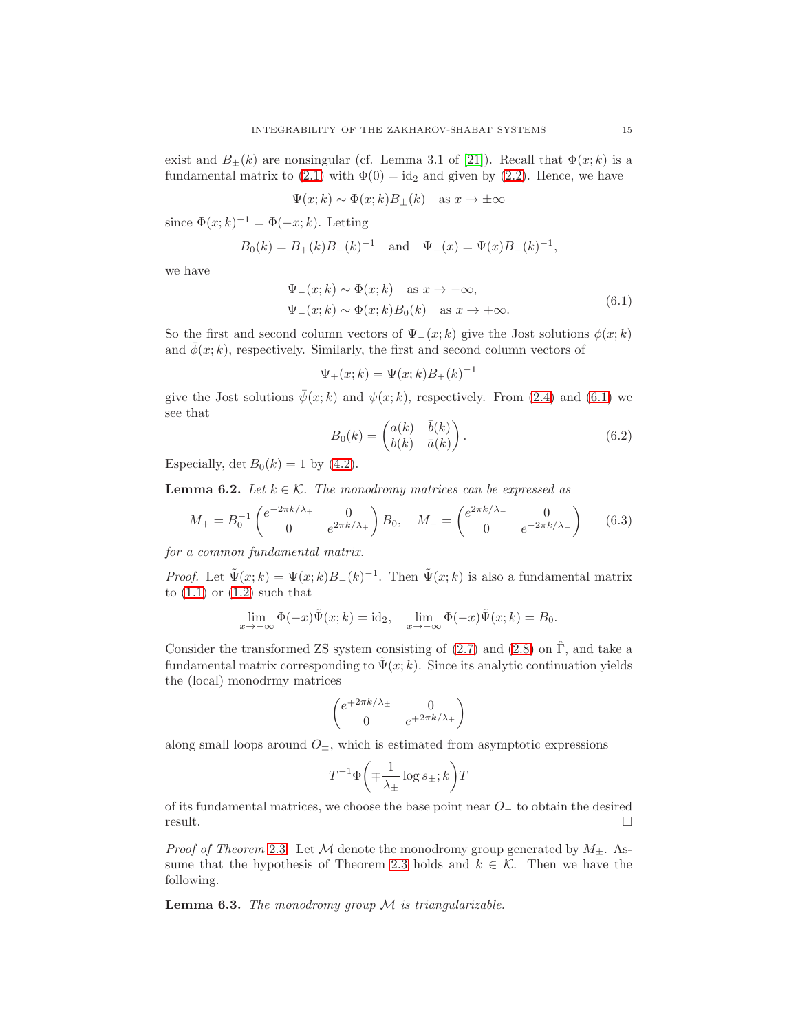exist and  $B_{\pm}(k)$  are nonsingular (cf. Lemma 3.1 of [\[21\]](#page-16-21)). Recall that  $\Phi(x;k)$  is a fundamental matrix to [\(2.1\)](#page-2-1) with  $\Phi(0) = id_2$  and given by [\(2.2\)](#page-2-2). Hence, we have

$$
\Psi(x;k) \sim \Phi(x;k)B_{\pm}(k)
$$
 as  $x \to \pm \infty$ 

since  $\Phi(x;k)^{-1} = \Phi(-x;k)$ . Letting

$$
B_0(k) = B_+(k)B_-(k)^{-1}
$$
 and  $\Psi_-(x) = \Psi(x)B_-(k)^{-1}$ ,

<span id="page-14-0"></span>we have

$$
\Psi_{-}(x;k) \sim \Phi(x;k) \quad \text{as } x \to -\infty,
$$
  
\n
$$
\Psi_{-}(x;k) \sim \Phi(x;k)B_0(k) \quad \text{as } x \to +\infty.
$$
\n(6.1)

So the first and second column vectors of  $\Psi_-(x;k)$  give the Jost solutions  $\phi(x;k)$ and  $\overline{\phi}(x; k)$ , respectively. Similarly, the first and second column vectors of

$$
\Psi_{+}(x;k) = \Psi(x;k)B_{+}(k)^{-1}
$$

give the Jost solutions  $\bar{\psi}(x; k)$  and  $\psi(x; k)$ , respectively. From [\(2.4\)](#page-3-3) and [\(6.1\)](#page-14-0) we see that

<span id="page-14-2"></span>
$$
B_0(k) = \begin{pmatrix} a(k) & \bar{b}(k) \\ b(k) & \bar{a}(k) \end{pmatrix}.
$$
 (6.2)

Especially, det  $B_0(k) = 1$  by [\(4.2\)](#page-8-3).

<span id="page-14-1"></span>**Lemma 6.2.** Let  $k \in \mathcal{K}$ . The monodromy matrices can be expressed as

<span id="page-14-3"></span>
$$
M_{+} = B_{0}^{-1} \begin{pmatrix} e^{-2\pi k/\lambda_{+}} & 0\\ 0 & e^{2\pi k/\lambda_{+}} \end{pmatrix} B_{0}, \quad M_{-} = \begin{pmatrix} e^{2\pi k/\lambda_{-}} & 0\\ 0 & e^{-2\pi k/\lambda_{-}} \end{pmatrix}
$$
(6.3)

for a common fundamental matrix.

*Proof.* Let  $\tilde{\Psi}(x;k) = \Psi(x;k)B_{-}(k)^{-1}$ . Then  $\tilde{\Psi}(x;k)$  is also a fundamental matrix to  $(1.1)$  or  $(1.2)$  such that

$$
\lim_{x \to -\infty} \Phi(-x) \tilde{\Psi}(x;k) = \mathrm{id}_2, \quad \lim_{x \to -\infty} \Phi(-x) \tilde{\Psi}(x;k) = B_0.
$$

Consider the transformed ZS system consisting of  $(2.7)$  and  $(2.8)$  on  $\hat{\Gamma}$ , and take a fundamental matrix corresponding to  $\tilde{\Psi}(x; k)$ . Since its analytic continuation yields the (local) monodrmy matrices

$$
\begin{pmatrix} e^{\mp 2\pi k/\lambda_{\pm}} & 0 \\ 0 & e^{\mp 2\pi k/\lambda_{\pm}} \end{pmatrix}
$$

along small loops around  $O_{\pm}$ , which is estimated from asymptotic expressions

$$
T^{-1}\Phi\left(\mp\frac{1}{\lambda_{\pm}}\log s_{\pm};k\right)T
$$

of its fundamental matrices, we choose the base point near  $O_-\mathcal{L}$  to obtain the desired  $r$ esult.

*Proof of Theorem [2](#page-4-1).3.* Let M denote the monodromy group generated by  $M_{\pm}$ . As-sume that the hypothesis of Theorem [2.3](#page-4-1) holds and  $k \in \mathcal{K}$ . Then we have the following.

**Lemma 6.3.** The monodromy group  $M$  is triangularizable.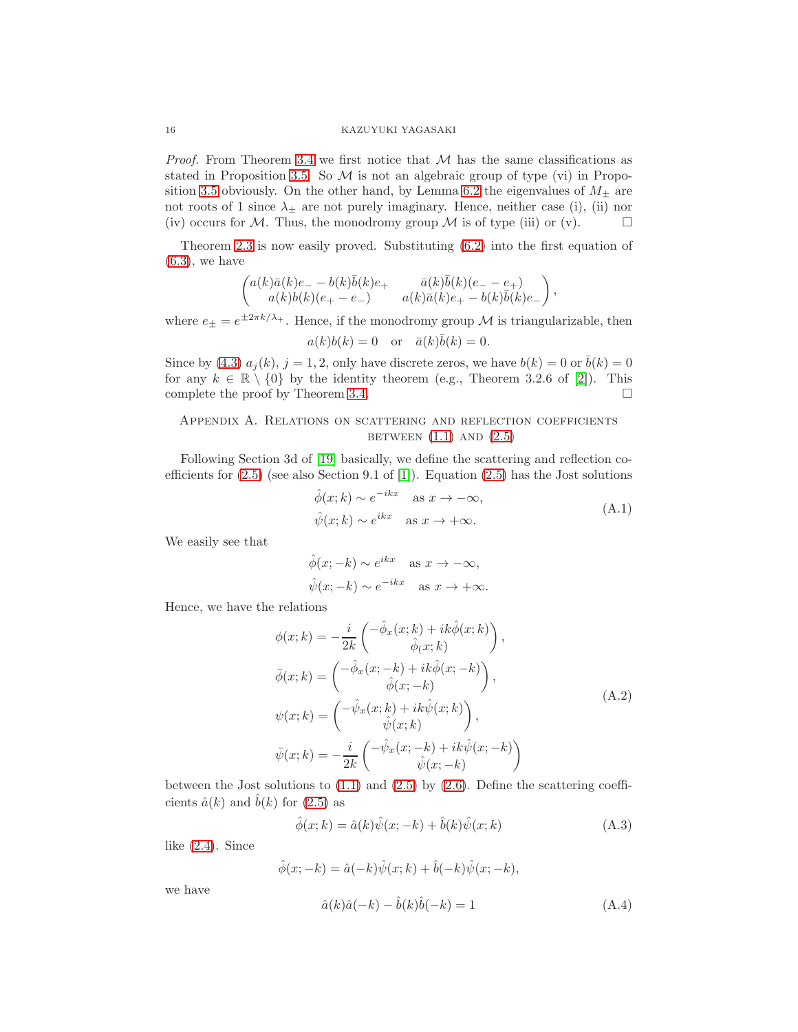*Proof.* From Theorem [3.4](#page-7-1) we first notice that  $M$  has the same classifications as stated in Proposition [3.5.](#page-7-2) So  $M$  is not an algebraic group of type (vi) in Propo-sition [3.5](#page-7-2) obviously. On the other hand, by Lemma [6.2](#page-14-1) the eigenvalues of  $M_{\pm}$  are not roots of 1 since  $\lambda_{\pm}$  are not purely imaginary. Hence, neither case (i), (ii) nor (iv) occurs for M. Thus, the monodromy group M is of type (iii) or (v).  $\Box$ 

Theorem [2.3](#page-4-1) is now easily proved. Substituting [\(6.2\)](#page-14-2) into the first equation of  $(6.3)$ , we have

$$
\begin{pmatrix} a(k)\bar a(k)e_- - b(k)\bar b(k)e_+ & \bar a(k)\bar b(k)(e_- - e_+)\\ a(k)b(k)(e_+ - e_-) & a(k)\bar a(k)e_+ - b(k)\bar b(k)e_- \end{pmatrix},
$$

where  $e_{\pm} = e^{\pm 2\pi k/\lambda_{+}}$ . Hence, if the monodromy group M is triangularizable, then

$$
a(k)b(k) = 0
$$
 or  $\bar{a}(k)\bar{b}(k) = 0$ .

Since by [\(4.3\)](#page-8-2)  $a_i(k)$ ,  $j = 1, 2$ , only have discrete zeros, we have  $b(k) = 0$  or  $b(k) = 0$ for any  $k \in \mathbb{R} \setminus \{0\}$  by the identity theorem (e.g., Theorem 3.2.6 of [\[2\]](#page-16-19)). This complete the proof by Theorem [3.4.](#page-7-1)  $\Box$ 

# Appendix A. Relations on scattering and reflection coefficients BETWEEN  $(1.1)$  AND  $(2.5)$

Following Section 3d of [\[19\]](#page-16-4) basically, we define the scattering and reflection coefficients for  $(2.5)$  (see also Section 9.1 of [\[1\]](#page-16-0)). Equation  $(2.5)$  has the Jost solutions

$$
\hat{\phi}(x;k) \sim e^{-ikx} \quad \text{as } x \to -\infty,
$$
  

$$
\hat{\psi}(x;k) \sim e^{ikx} \quad \text{as } x \to +\infty.
$$
 (A.1)

<span id="page-15-1"></span>We easily see that

$$
\hat{\phi}(x; -k) \sim e^{ikx} \quad \text{as } x \to -\infty,
$$
  

$$
\hat{\psi}(x; -k) \sim e^{-ikx} \quad \text{as } x \to +\infty.
$$

Hence, we have the relations

$$
\phi(x;k) = -\frac{i}{2k} \begin{pmatrix} -\hat{\phi}_x(x;k) + ik\hat{\phi}(x;k) \\ \hat{\phi}_y(x;k) \end{pmatrix},
$$
  
\n
$$
\bar{\phi}(x;k) = \begin{pmatrix} -\hat{\phi}_x(x;-k) + ik\hat{\phi}(x;-k) \\ \hat{\phi}(x;-k) \end{pmatrix},
$$
  
\n
$$
\psi(x;k) = \begin{pmatrix} -\hat{\psi}_x(x;k) + ik\hat{\psi}(x;k) \\ \hat{\psi}(x;k) \end{pmatrix},
$$
  
\n
$$
\bar{\psi}(x;k) = -\frac{i}{2k} \begin{pmatrix} -\hat{\psi}_x(x;-k) + ik\hat{\psi}(x;-k) \\ \hat{\psi}(x;-k) \end{pmatrix}
$$
\n(A.2)

<span id="page-15-3"></span>between the Jost solutions to  $(1.1)$  and  $(2.5)$  by  $(2.6)$ . Define the scattering coefficients  $\hat{a}(k)$  and  $\hat{b}(k)$  for  $(2.5)$  as

<span id="page-15-2"></span>
$$
\hat{\phi}(x;k) = \hat{a}(k)\hat{\psi}(x;-k) + \hat{b}(k)\hat{\psi}(x;k)
$$
\n(A.3)

like [\(2.4\)](#page-3-3). Since

$$
\hat{\phi}(x; -k) = \hat{a}(-k)\hat{\psi}(x; k) + \hat{b}(-k)\hat{\psi}(x; -k),
$$

we have

<span id="page-15-0"></span>
$$
\hat{a}(k)\hat{a}(-k) - \hat{b}(k)\hat{b}(-k) = 1\tag{A.4}
$$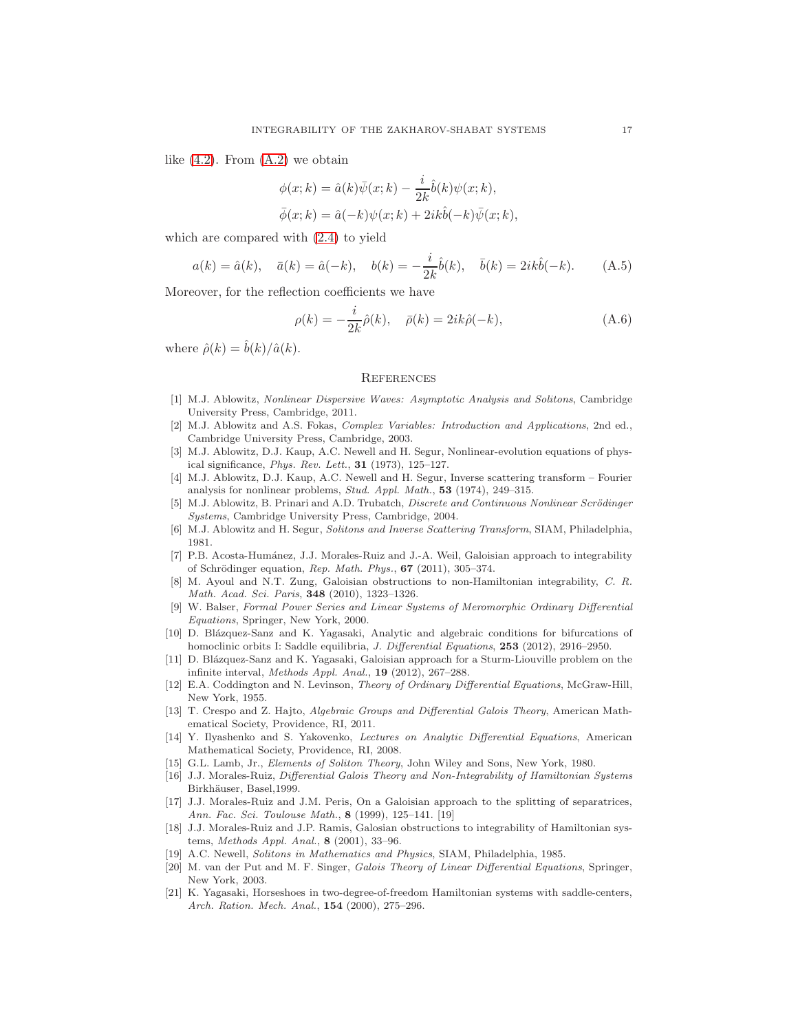like  $(4.2)$ . From  $(A.2)$  we obtain

$$
\phi(x;k) = \hat{a}(k)\bar{\psi}(x;k) - \frac{i}{2k}\hat{b}(k)\psi(x;k),
$$
  

$$
\bar{\phi}(x;k) = \hat{a}(-k)\psi(x;k) + 2ik\hat{b}(-k)\bar{\psi}(x;k),
$$

which are compared with [\(2.4\)](#page-3-3) to yield

$$
a(k) = \hat{a}(k), \quad \bar{a}(k) = \hat{a}(-k), \quad b(k) = -\frac{i}{2k}\hat{b}(k), \quad \bar{b}(k) = 2ik\hat{b}(-k).
$$
 (A.5)

Moreover, for the reflection coefficients we have

<span id="page-16-17"></span>
$$
\rho(k) = -\frac{i}{2k}\hat{\rho}(k), \quad \bar{\rho}(k) = 2ik\hat{\rho}(-k), \tag{A.6}
$$

where  $\hat{\rho}(k) = \hat{b}(k)/\hat{a}(k)$ .

### **REFERENCES**

- <span id="page-16-0"></span>[1] M.J. Ablowitz, Nonlinear Dispersive Waves: Asymptotic Analysis and Solitons, Cambridge University Press, Cambridge, 2011.
- <span id="page-16-19"></span>[2] M.J. Ablowitz and A.S. Fokas, Complex Variables: Introduction and Applications, 2nd ed., Cambridge University Press, Cambridge, 2003.
- <span id="page-16-1"></span>[3] M.J. Ablowitz, D.J. Kaup, A.C. Newell and H. Segur, Nonlinear-evolution equations of physical significance, Phys. Rev. Lett., 31 (1973), 125–127.
- <span id="page-16-14"></span>[4] M.J. Ablowitz, D.J. Kaup, A.C. Newell and H. Segur, Inverse scattering transform – Fourier analysis for nonlinear problems, Stud. Appl. Math., 53 (1974), 249–315.
- <span id="page-16-15"></span>[5] M.J. Ablowitz, B. Prinari and A.D. Trubatch, *Discrete and Continuous Nonlinear Scrödinger* Systems, Cambridge University Press, Cambridge, 2004.
- <span id="page-16-16"></span><span id="page-16-2"></span>[6] M.J. Ablowitz and H. Segur, Solitons and Inverse Scattering Transform, SIAM, Philadelphia, 1981.
- [7] P.B. Acosta-Humánez, J.J. Morales-Ruiz and J.-A. Weil, Galoisian approach to integrability of Schrödinger equation, Rep. Math. Phys.,  $67$  (2011), 305–374.
- <span id="page-16-7"></span>[8] M. Ayoul and N.T. Zung, Galoisian obstructions to non-Hamiltonian integrability, C. R. Math. Acad. Sci. Paris, 348 (2010), 1323–1326.
- <span id="page-16-18"></span>[9] W. Balser, Formal Power Series and Linear Systems of Meromorphic Ordinary Differential Equations, Springer, New York, 2000.
- <span id="page-16-11"></span>[10] D. Blázquez-Sanz and K. Yagasaki, Analytic and algebraic conditions for bifurcations of homoclinic orbits I: Saddle equilibria, J. Differential Equations, 253 (2012), 2916–2950.
- <span id="page-16-12"></span>[11] D. Blázquez-Sanz and K. Yagasaki, Galoisian approach for a Sturm-Liouville problem on the infinite interval, Methods Appl. Anal., 19 (2012), 267–288.
- <span id="page-16-20"></span>[12] E.A. Coddington and N. Levinson, Theory of Ordinary Differential Equations, McGraw-Hill, New York, 1955.
- <span id="page-16-5"></span>[13] T. Crespo and Z. Hajto, Algebraic Groups and Differential Galois Theory, American Mathematical Society, Providence, RI, 2011.
- <span id="page-16-13"></span>[14] Y. Ilyashenko and S. Yakovenko, Lectures on Analytic Differential Equations, American Mathematical Society, Providence, RI, 2008.
- <span id="page-16-8"></span><span id="page-16-3"></span>[15] G.L. Lamb, Jr., Elements of Soliton Theory, John Wiley and Sons, New York, 1980.
- [16] J.J. Morales-Ruiz, Differential Galois Theory and Non-Integrability of Hamiltonian Systems Birkhäuser, Basel, 1999.
- <span id="page-16-10"></span>[17] J.J. Morales-Ruiz and J.M. Peris, On a Galoisian approach to the splitting of separatrices, Ann. Fac. Sci. Toulouse Math., 8 (1999), 125–141. [19]
- <span id="page-16-9"></span>[18] J.J. Morales-Ruiz and J.P. Ramis, Galosian obstructions to integrability of Hamiltonian systems, Methods Appl. Anal., 8 (2001), 33–96.
- <span id="page-16-6"></span><span id="page-16-4"></span>[19] A.C. Newell, Solitons in Mathematics and Physics, SIAM, Philadelphia, 1985.
- [20] M. van der Put and M. F. Singer, Galois Theory of Linear Differential Equations, Springer, New York, 2003.
- <span id="page-16-21"></span>[21] K. Yagasaki, Horseshoes in two-degree-of-freedom Hamiltonian systems with saddle-centers, Arch. Ration. Mech. Anal., 154 (2000), 275–296.